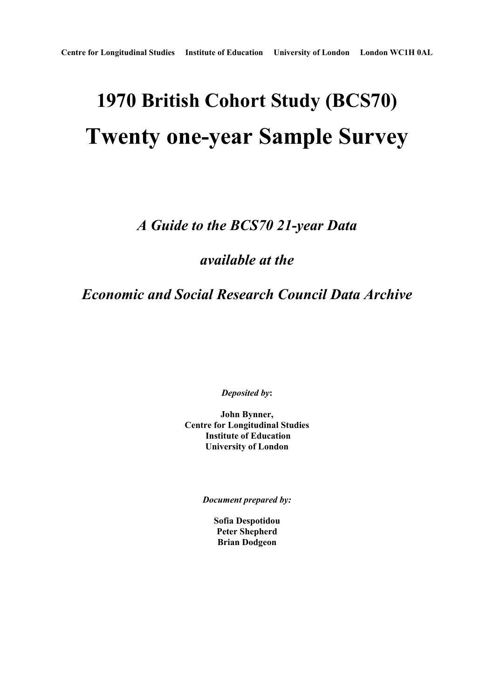# **1970 British Cohort Study (BCS70) Twenty one-year Sample Survey**

*A Guide to the BCS70 21-year Data* 

*available at the* 

*Economic and Social Research Council Data Archive* 

*Deposited by***:** 

**John Bynner, Centre for Longitudinal Studies Institute of Education University of London** 

*Document prepared by:* 

**Sofia Despotidou Peter Shepherd Brian Dodgeon**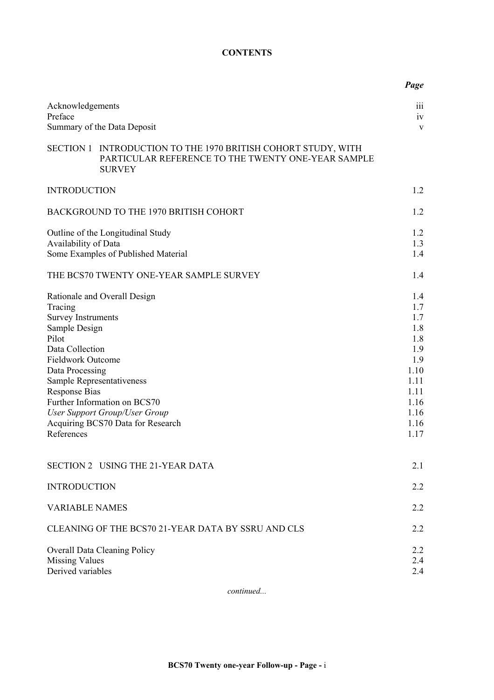## **CONTENTS**

|                                                                                                                                                                        |                                                                                                                                                                        | Page                                                                                                  |
|------------------------------------------------------------------------------------------------------------------------------------------------------------------------|------------------------------------------------------------------------------------------------------------------------------------------------------------------------|-------------------------------------------------------------------------------------------------------|
| Acknowledgements<br>Preface                                                                                                                                            |                                                                                                                                                                        | 111<br>iv                                                                                             |
|                                                                                                                                                                        | Summary of the Data Deposit                                                                                                                                            | V                                                                                                     |
|                                                                                                                                                                        | SECTION 1 INTRODUCTION TO THE 1970 BRITISH COHORT STUDY, WITH<br>PARTICULAR REFERENCE TO THE TWENTY ONE-YEAR SAMPLE<br><b>SURVEY</b>                                   |                                                                                                       |
| <b>INTRODUCTION</b>                                                                                                                                                    |                                                                                                                                                                        | 1.2                                                                                                   |
|                                                                                                                                                                        | BACKGROUND TO THE 1970 BRITISH COHORT                                                                                                                                  | 1.2                                                                                                   |
|                                                                                                                                                                        | Outline of the Longitudinal Study                                                                                                                                      | 1.2                                                                                                   |
| Availability of Data                                                                                                                                                   | Some Examples of Published Material                                                                                                                                    | 1.3<br>1.4                                                                                            |
|                                                                                                                                                                        | THE BCS70 TWENTY ONE-YEAR SAMPLE SURVEY                                                                                                                                | 1.4                                                                                                   |
| Tracing<br><b>Survey Instruments</b><br>Sample Design<br>Pilot<br>Data Collection<br><b>Fieldwork Outcome</b><br>Data Processing<br><b>Response Bias</b><br>References | Rationale and Overall Design<br>Sample Representativeness<br>Further Information on BCS70<br><b>User Support Group/User Group</b><br>Acquiring BCS70 Data for Research | 1.4<br>1.7<br>1.7<br>1.8<br>1.8<br>1.9<br>1.9<br>1.10<br>1.11<br>1.11<br>1.16<br>1.16<br>1.16<br>1.17 |
|                                                                                                                                                                        | SECTION 2 USING THE 21-YEAR DATA                                                                                                                                       | 2.1                                                                                                   |
| <b>INTRODUCTION</b>                                                                                                                                                    |                                                                                                                                                                        | 2.2                                                                                                   |
| <b>VARIABLE NAMES</b>                                                                                                                                                  |                                                                                                                                                                        | 2.2                                                                                                   |
|                                                                                                                                                                        | CLEANING OF THE BCS70 21-YEAR DATA BY SSRU AND CLS                                                                                                                     | 2.2                                                                                                   |
| <b>Missing Values</b><br>Derived variables                                                                                                                             | <b>Overall Data Cleaning Policy</b>                                                                                                                                    | 2.2<br>2.4<br>2.4                                                                                     |

*continued...*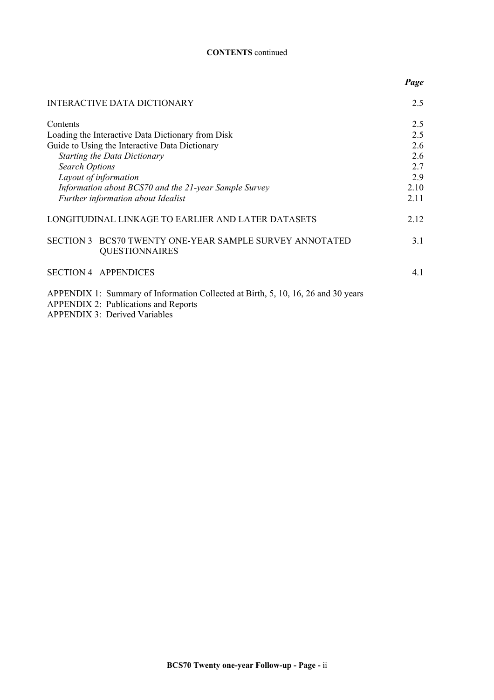#### **CONTENTS** continued

|                                                                                                                                                                          | Page |
|--------------------------------------------------------------------------------------------------------------------------------------------------------------------------|------|
| <b>INTERACTIVE DATA DICTIONARY</b>                                                                                                                                       | 2.5  |
| Contents                                                                                                                                                                 | 2.5  |
| Loading the Interactive Data Dictionary from Disk                                                                                                                        | 2.5  |
| Guide to Using the Interactive Data Dictionary                                                                                                                           | 2.6  |
| <b>Starting the Data Dictionary</b>                                                                                                                                      | 2.6  |
| <b>Search Options</b>                                                                                                                                                    | 2.7  |
| Layout of information                                                                                                                                                    | 2.9  |
| Information about BCS70 and the 21-year Sample Survey                                                                                                                    | 2.10 |
| Further information about Idealist                                                                                                                                       | 2.11 |
| LONGITUDINAL LINKAGE TO EARLIER AND LATER DATASETS                                                                                                                       | 2.12 |
| SECTION 3 BCS70 TWENTY ONE-YEAR SAMPLE SURVEY ANNOTATED<br><b>QUESTIONNAIRES</b>                                                                                         | 3.1  |
| <b>SECTION 4 APPENDICES</b>                                                                                                                                              | 4.1  |
| APPENDIX 1: Summary of Information Collected at Birth, 5, 10, 16, 26 and 30 years<br><b>APPENDIX 2: Publications and Reports</b><br><b>APPENDIX 3: Derived Variables</b> |      |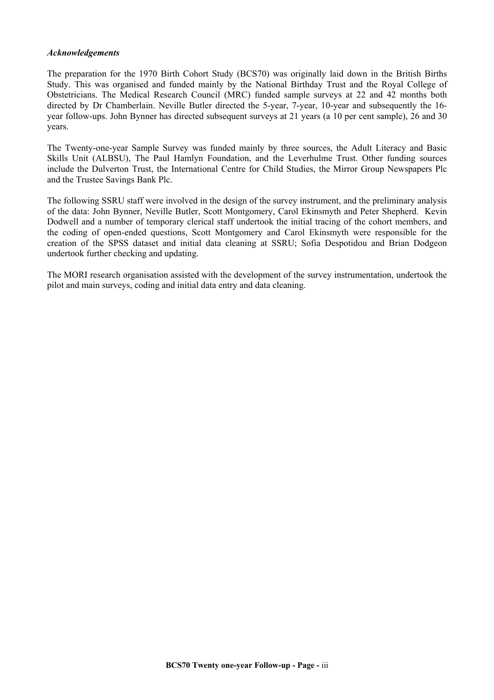#### *Acknowledgements*

The preparation for the 1970 Birth Cohort Study (BCS70) was originally laid down in the British Births Study. This was organised and funded mainly by the National Birthday Trust and the Royal College of Obstetricians. The Medical Research Council (MRC) funded sample surveys at 22 and 42 months both directed by Dr Chamberlain. Neville Butler directed the 5-year, 7-year, 10-year and subsequently the 16 year follow-ups. John Bynner has directed subsequent surveys at 21 years (a 10 per cent sample), 26 and 30 years.

The Twenty-one-year Sample Survey was funded mainly by three sources, the Adult Literacy and Basic Skills Unit (ALBSU), The Paul Hamlyn Foundation, and the Leverhulme Trust. Other funding sources include the Dulverton Trust, the International Centre for Child Studies, the Mirror Group Newspapers Plc and the Trustee Savings Bank Plc.

The following SSRU staff were involved in the design of the survey instrument, and the preliminary analysis of the data: John Bynner, Neville Butler, Scott Montgomery, Carol Ekinsmyth and Peter Shepherd. Kevin Dodwell and a number of temporary clerical staff undertook the initial tracing of the cohort members, and the coding of open-ended questions, Scott Montgomery and Carol Ekinsmyth were responsible for the creation of the SPSS dataset and initial data cleaning at SSRU; Sofia Despotidou and Brian Dodgeon undertook further checking and updating.

The MORI research organisation assisted with the development of the survey instrumentation, undertook the pilot and main surveys, coding and initial data entry and data cleaning.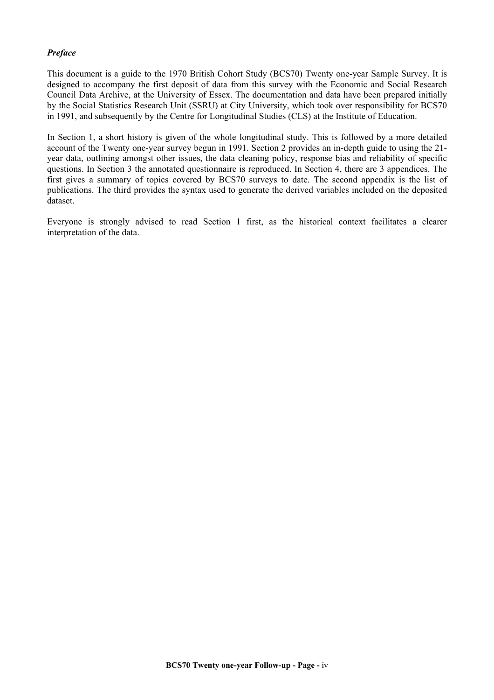### *Preface*

This document is a guide to the 1970 British Cohort Study (BCS70) Twenty one-year Sample Survey. It is designed to accompany the first deposit of data from this survey with the Economic and Social Research Council Data Archive, at the University of Essex. The documentation and data have been prepared initially by the Social Statistics Research Unit (SSRU) at City University, which took over responsibility for BCS70 in 1991, and subsequently by the Centre for Longitudinal Studies (CLS) at the Institute of Education.

In Section 1, a short history is given of the whole longitudinal study. This is followed by a more detailed account of the Twenty one-year survey begun in 1991. Section 2 provides an in-depth guide to using the 21 year data, outlining amongst other issues, the data cleaning policy, response bias and reliability of specific questions. In Section 3 the annotated questionnaire is reproduced. In Section 4, there are 3 appendices. The first gives a summary of topics covered by BCS70 surveys to date. The second appendix is the list of publications. The third provides the syntax used to generate the derived variables included on the deposited dataset.

Everyone is strongly advised to read Section 1 first, as the historical context facilitates a clearer interpretation of the data.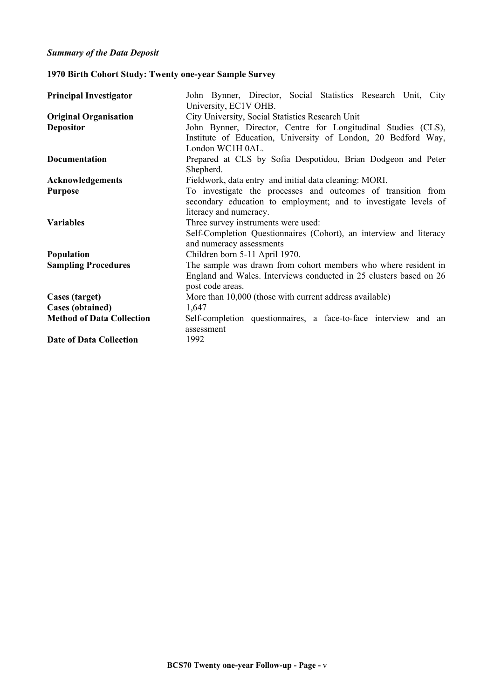# **1970 Birth Cohort Study: Twenty one-year Sample Survey**

| <b>Original Organisation</b><br>City University, Social Statistics Research Unit<br>John Bynner, Director, Centre for Longitudinal Studies (CLS),<br><b>Depositor</b><br>Institute of Education, University of London, 20 Bedford Way,<br>London WC1H 0AL.<br>Prepared at CLS by Sofia Despotidou, Brian Dodgeon and Peter<br><b>Documentation</b><br>Shepherd.<br>Fieldwork, data entry and initial data cleaning: MORI.<br>Acknowledgements<br>To investigate the processes and outcomes of transition from<br><b>Purpose</b><br>secondary education to employment; and to investigate levels of<br>literacy and numeracy.<br>Three survey instruments were used:<br><b>Variables</b><br>Self-Completion Questionnaires (Cohort), an interview and literacy<br>and numeracy assessments<br>Children born 5-11 April 1970.<br>Population<br>The sample was drawn from cohort members who where resident in<br><b>Sampling Procedures</b><br>England and Wales. Interviews conducted in 25 clusters based on 26<br>post code areas.<br>More than 10,000 (those with current address available)<br>Cases (target)<br><b>Cases (obtained)</b><br>1,647 | John Bynner, Director, Social Statistics Research Unit, City<br>University, EC1V OHB. |  |  |  |  |
|------------------------------------------------------------------------------------------------------------------------------------------------------------------------------------------------------------------------------------------------------------------------------------------------------------------------------------------------------------------------------------------------------------------------------------------------------------------------------------------------------------------------------------------------------------------------------------------------------------------------------------------------------------------------------------------------------------------------------------------------------------------------------------------------------------------------------------------------------------------------------------------------------------------------------------------------------------------------------------------------------------------------------------------------------------------------------------------------------------------------------------------------------|---------------------------------------------------------------------------------------|--|--|--|--|
|                                                                                                                                                                                                                                                                                                                                                                                                                                                                                                                                                                                                                                                                                                                                                                                                                                                                                                                                                                                                                                                                                                                                                      |                                                                                       |  |  |  |  |
|                                                                                                                                                                                                                                                                                                                                                                                                                                                                                                                                                                                                                                                                                                                                                                                                                                                                                                                                                                                                                                                                                                                                                      |                                                                                       |  |  |  |  |
|                                                                                                                                                                                                                                                                                                                                                                                                                                                                                                                                                                                                                                                                                                                                                                                                                                                                                                                                                                                                                                                                                                                                                      |                                                                                       |  |  |  |  |
|                                                                                                                                                                                                                                                                                                                                                                                                                                                                                                                                                                                                                                                                                                                                                                                                                                                                                                                                                                                                                                                                                                                                                      |                                                                                       |  |  |  |  |
|                                                                                                                                                                                                                                                                                                                                                                                                                                                                                                                                                                                                                                                                                                                                                                                                                                                                                                                                                                                                                                                                                                                                                      |                                                                                       |  |  |  |  |
|                                                                                                                                                                                                                                                                                                                                                                                                                                                                                                                                                                                                                                                                                                                                                                                                                                                                                                                                                                                                                                                                                                                                                      |                                                                                       |  |  |  |  |
|                                                                                                                                                                                                                                                                                                                                                                                                                                                                                                                                                                                                                                                                                                                                                                                                                                                                                                                                                                                                                                                                                                                                                      |                                                                                       |  |  |  |  |
|                                                                                                                                                                                                                                                                                                                                                                                                                                                                                                                                                                                                                                                                                                                                                                                                                                                                                                                                                                                                                                                                                                                                                      |                                                                                       |  |  |  |  |
|                                                                                                                                                                                                                                                                                                                                                                                                                                                                                                                                                                                                                                                                                                                                                                                                                                                                                                                                                                                                                                                                                                                                                      |                                                                                       |  |  |  |  |
|                                                                                                                                                                                                                                                                                                                                                                                                                                                                                                                                                                                                                                                                                                                                                                                                                                                                                                                                                                                                                                                                                                                                                      |                                                                                       |  |  |  |  |
|                                                                                                                                                                                                                                                                                                                                                                                                                                                                                                                                                                                                                                                                                                                                                                                                                                                                                                                                                                                                                                                                                                                                                      |                                                                                       |  |  |  |  |
|                                                                                                                                                                                                                                                                                                                                                                                                                                                                                                                                                                                                                                                                                                                                                                                                                                                                                                                                                                                                                                                                                                                                                      |                                                                                       |  |  |  |  |
|                                                                                                                                                                                                                                                                                                                                                                                                                                                                                                                                                                                                                                                                                                                                                                                                                                                                                                                                                                                                                                                                                                                                                      |                                                                                       |  |  |  |  |
|                                                                                                                                                                                                                                                                                                                                                                                                                                                                                                                                                                                                                                                                                                                                                                                                                                                                                                                                                                                                                                                                                                                                                      |                                                                                       |  |  |  |  |
|                                                                                                                                                                                                                                                                                                                                                                                                                                                                                                                                                                                                                                                                                                                                                                                                                                                                                                                                                                                                                                                                                                                                                      |                                                                                       |  |  |  |  |
|                                                                                                                                                                                                                                                                                                                                                                                                                                                                                                                                                                                                                                                                                                                                                                                                                                                                                                                                                                                                                                                                                                                                                      |                                                                                       |  |  |  |  |
|                                                                                                                                                                                                                                                                                                                                                                                                                                                                                                                                                                                                                                                                                                                                                                                                                                                                                                                                                                                                                                                                                                                                                      |                                                                                       |  |  |  |  |
|                                                                                                                                                                                                                                                                                                                                                                                                                                                                                                                                                                                                                                                                                                                                                                                                                                                                                                                                                                                                                                                                                                                                                      |                                                                                       |  |  |  |  |
|                                                                                                                                                                                                                                                                                                                                                                                                                                                                                                                                                                                                                                                                                                                                                                                                                                                                                                                                                                                                                                                                                                                                                      |                                                                                       |  |  |  |  |
| <b>Method of Data Collection</b>                                                                                                                                                                                                                                                                                                                                                                                                                                                                                                                                                                                                                                                                                                                                                                                                                                                                                                                                                                                                                                                                                                                     | Self-completion questionnaires, a face-to-face interview and an                       |  |  |  |  |
| assessment                                                                                                                                                                                                                                                                                                                                                                                                                                                                                                                                                                                                                                                                                                                                                                                                                                                                                                                                                                                                                                                                                                                                           |                                                                                       |  |  |  |  |
| <b>Date of Data Collection</b><br>1992                                                                                                                                                                                                                                                                                                                                                                                                                                                                                                                                                                                                                                                                                                                                                                                                                                                                                                                                                                                                                                                                                                               |                                                                                       |  |  |  |  |
|                                                                                                                                                                                                                                                                                                                                                                                                                                                                                                                                                                                                                                                                                                                                                                                                                                                                                                                                                                                                                                                                                                                                                      |                                                                                       |  |  |  |  |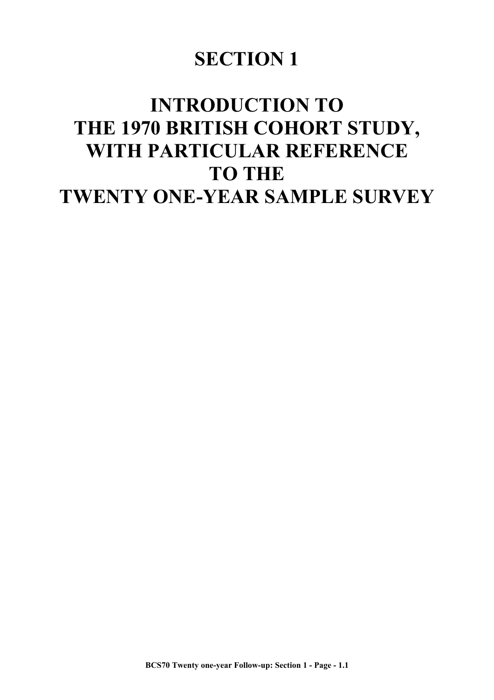# **SECTION 1**

# **INTRODUCTION TO THE 1970 BRITISH COHORT STUDY, WITH PARTICULAR REFERENCE TO THE TWENTY ONE-YEAR SAMPLE SURVEY**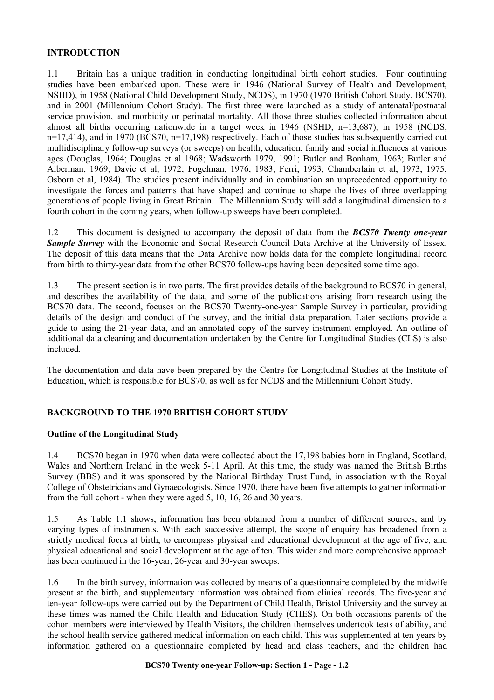#### **INTRODUCTION**

1.1 Britain has a unique tradition in conducting longitudinal birth cohort studies. Four continuing studies have been embarked upon. These were in 1946 (National Survey of Health and Development, NSHD), in 1958 (National Child Development Study, NCDS), in 1970 (1970 British Cohort Study, BCS70), and in 2001 (Millennium Cohort Study). The first three were launched as a study of antenatal/postnatal service provision, and morbidity or perinatal mortality. All those three studies collected information about almost all births occurring nationwide in a target week in 1946 (NSHD, n=13,687), in 1958 (NCDS, n=17,414), and in 1970 (BCS70, n=17,198) respectively. Each of those studies has subsequently carried out multidisciplinary follow-up surveys (or sweeps) on health, education, family and social influences at various ages (Douglas, 1964; Douglas et al 1968; Wadsworth 1979, 1991; Butler and Bonham, 1963; Butler and Alberman, 1969; Davie et al, 1972; Fogelman, 1976, 1983; Ferri, 1993; Chamberlain et al, 1973, 1975; Osborn et al, 1984). The studies present individually and in combination an unprecedented opportunity to investigate the forces and patterns that have shaped and continue to shape the lives of three overlapping generations of people living in Great Britain. The Millennium Study will add a longitudinal dimension to a fourth cohort in the coming years, when follow-up sweeps have been completed.

1.2 This document is designed to accompany the deposit of data from the *BCS70 Twenty one-year*  **Sample Survey** with the Economic and Social Research Council Data Archive at the University of Essex. The deposit of this data means that the Data Archive now holds data for the complete longitudinal record from birth to thirty-year data from the other BCS70 follow-ups having been deposited some time ago.

1.3 The present section is in two parts. The first provides details of the background to BCS70 in general, and describes the availability of the data, and some of the publications arising from research using the BCS70 data. The second, focuses on the BCS70 Twenty-one-year Sample Survey in particular, providing details of the design and conduct of the survey, and the initial data preparation. Later sections provide a guide to using the 21-year data, and an annotated copy of the survey instrument employed. An outline of additional data cleaning and documentation undertaken by the Centre for Longitudinal Studies (CLS) is also included.

The documentation and data have been prepared by the Centre for Longitudinal Studies at the Institute of Education, which is responsible for BCS70, as well as for NCDS and the Millennium Cohort Study.

## **BACKGROUND TO THE 1970 BRITISH COHORT STUDY**

#### **Outline of the Longitudinal Study**

1.4 BCS70 began in 1970 when data were collected about the 17,198 babies born in England, Scotland, Wales and Northern Ireland in the week 5-11 April. At this time, the study was named the British Births Survey (BBS) and it was sponsored by the National Birthday Trust Fund, in association with the Royal College of Obstetricians and Gynaecologists. Since 1970, there have been five attempts to gather information from the full cohort - when they were aged 5, 10, 16, 26 and 30 years.

1.5 As Table 1.1 shows, information has been obtained from a number of different sources, and by varying types of instruments. With each successive attempt, the scope of enquiry has broadened from a strictly medical focus at birth, to encompass physical and educational development at the age of five, and physical educational and social development at the age of ten. This wider and more comprehensive approach has been continued in the 16-year, 26-year and 30-year sweeps.

1.6 In the birth survey, information was collected by means of a questionnaire completed by the midwife present at the birth, and supplementary information was obtained from clinical records. The five-year and ten-year follow-ups were carried out by the Department of Child Health, Bristol University and the survey at these times was named the Child Health and Education Study (CHES). On both occasions parents of the cohort members were interviewed by Health Visitors, the children themselves undertook tests of ability, and the school health service gathered medical information on each child. This was supplemented at ten years by information gathered on a questionnaire completed by head and class teachers, and the children had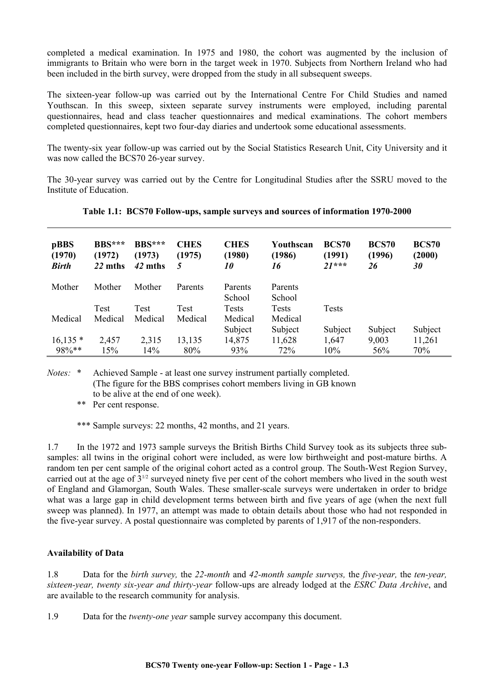completed a medical examination. In 1975 and 1980, the cohort was augmented by the inclusion of immigrants to Britain who were born in the target week in 1970. Subjects from Northern Ireland who had been included in the birth survey, were dropped from the study in all subsequent sweeps.

The sixteen-year follow-up was carried out by the International Centre For Child Studies and named Youthscan. In this sweep, sixteen separate survey instruments were employed, including parental questionnaires, head and class teacher questionnaires and medical examinations. The cohort members completed questionnaires, kept two four-day diaries and undertook some educational assessments.

The twenty-six year follow-up was carried out by the Social Statistics Research Unit, City University and it was now called the BCS70 26-year survey.

The 30-year survey was carried out by the Centre for Longitudinal Studies after the SSRU moved to the Institute of Education.

| pBBS<br>(1970)<br><b>Birth</b> | $BBS***$<br>(1972)<br>22 mths | <b>BBS***</b><br>(1973)<br>42 mths | <b>CHES</b><br>(1975)<br>5 | <b>CHES</b><br>(1980)<br>10 | Youthscan<br>(1986)<br>16 | BCS70<br>(1991)<br>$21***$ | <b>BCS70</b><br>(1996)<br>26 | <b>BCS70</b><br>(2000)<br>30 |
|--------------------------------|-------------------------------|------------------------------------|----------------------------|-----------------------------|---------------------------|----------------------------|------------------------------|------------------------------|
| Mother                         | Mother                        | Mother                             | Parents                    | Parents<br>School           | Parents<br>School         |                            |                              |                              |
|                                | Test                          | Test                               | Test                       | Tests                       | <b>Tests</b>              | <b>Tests</b>               |                              |                              |
| Medical                        | Medical                       | Medical                            | Medical                    | Medical                     | Medical                   |                            |                              |                              |
|                                |                               |                                    |                            | Subject                     | Subject                   | Subject                    | Subject                      | Subject                      |
| $16,135*$                      | 2,457                         | 2,315                              | 13,135                     | 14,875                      | 11,628                    | 1,647                      | 9,003                        | 11,261                       |
| 98%**                          | 15%                           | 14%                                | 80%                        | 93%                         | 72%                       | 10%                        | 56%                          | 70%                          |

**Table 1.1: BCS70 Follow-ups, sample surveys and sources of information 1970-2000** 

*Notes:* \* Achieved Sample - at least one survey instrument partially completed. (The figure for the BBS comprises cohort members living in GB known to be alive at the end of one week).

\*\* Per cent response.

\*\*\* Sample surveys: 22 months, 42 months, and 21 years.

1.7 In the 1972 and 1973 sample surveys the British Births Child Survey took as its subjects three subsamples: all twins in the original cohort were included, as were low birthweight and post-mature births. A random ten per cent sample of the original cohort acted as a control group. The South-West Region Survey, carried out at the age of 31/2 surveyed ninety five per cent of the cohort members who lived in the south west of England and Glamorgan, South Wales. These smaller-scale surveys were undertaken in order to bridge what was a large gap in child development terms between birth and five years of age (when the next full sweep was planned). In 1977, an attempt was made to obtain details about those who had not responded in the five-year survey. A postal questionnaire was completed by parents of 1,917 of the non-responders.

# **Availability of Data**

1.8 Data for the *birth survey,* the *22-month* and *42-month sample surveys,* the *five-year,* the *ten-year, sixteen-year, twenty six-year and thirty-year* follow-ups are already lodged at the *ESRC Data Archive*, and are available to the research community for analysis.

1.9 Data for the *twenty-one year* sample survey accompany this document.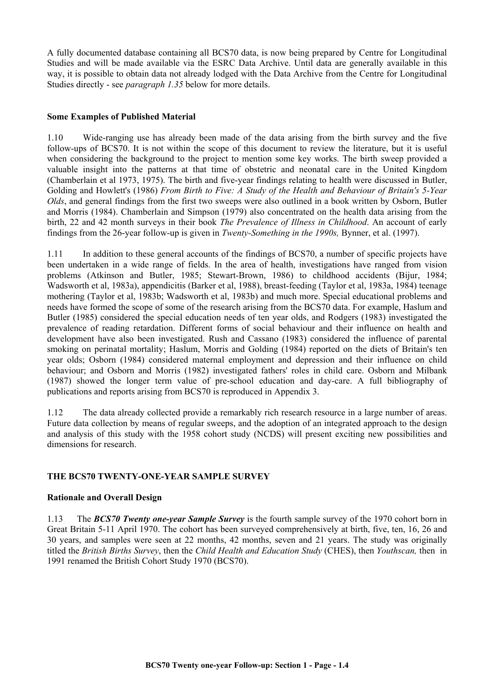A fully documented database containing all BCS70 data, is now being prepared by Centre for Longitudinal Studies and will be made available via the ESRC Data Archive. Until data are generally available in this way, it is possible to obtain data not already lodged with the Data Archive from the Centre for Longitudinal Studies directly - see *paragraph 1.35* below for more details.

#### **Some Examples of Published Material**

1.10 Wide-ranging use has already been made of the data arising from the birth survey and the five follow-ups of BCS70. It is not within the scope of this document to review the literature, but it is useful when considering the background to the project to mention some key works. The birth sweep provided a valuable insight into the patterns at that time of obstetric and neonatal care in the United Kingdom (Chamberlain et al 1973, 1975). The birth and five-year findings relating to health were discussed in Butler, Golding and Howlett's (1986) *From Birth to Five: A Study of the Health and Behaviour of Britain's 5-Year Olds*, and general findings from the first two sweeps were also outlined in a book written by Osborn, Butler and Morris (1984). Chamberlain and Simpson (1979) also concentrated on the health data arising from the birth, 22 and 42 month surveys in their book *The Prevalence of Illness in Childhood*. An account of early findings from the 26-year follow-up is given in *Twenty-Something in the 1990s,* Bynner, et al. (1997).

1.11 In addition to these general accounts of the findings of BCS70, a number of specific projects have been undertaken in a wide range of fields. In the area of health, investigations have ranged from vision problems (Atkinson and Butler, 1985; Stewart-Brown, 1986) to childhood accidents (Bijur, 1984; Wadsworth et al, 1983a), appendicitis (Barker et al, 1988), breast-feeding (Taylor et al, 1983a, 1984) teenage mothering (Taylor et al, 1983b; Wadsworth et al, 1983b) and much more. Special educational problems and needs have formed the scope of some of the research arising from the BCS70 data. For example, Haslum and Butler (1985) considered the special education needs of ten year olds, and Rodgers (1983) investigated the prevalence of reading retardation. Different forms of social behaviour and their influence on health and development have also been investigated. Rush and Cassano (1983) considered the influence of parental smoking on perinatal mortality; Haslum, Morris and Golding (1984) reported on the diets of Britain's ten year olds; Osborn (1984) considered maternal employment and depression and their influence on child behaviour; and Osborn and Morris (1982) investigated fathers' roles in child care. Osborn and Milbank (1987) showed the longer term value of pre-school education and day-care. A full bibliography of publications and reports arising from BCS70 is reproduced in Appendix 3.

1.12 The data already collected provide a remarkably rich research resource in a large number of areas. Future data collection by means of regular sweeps, and the adoption of an integrated approach to the design and analysis of this study with the 1958 cohort study (NCDS) will present exciting new possibilities and dimensions for research.

## **THE BCS70 TWENTY-ONE-YEAR SAMPLE SURVEY**

#### **Rationale and Overall Design**

1.13 The *BCS70 Twenty one-year Sample Survey* is the fourth sample survey of the 1970 cohort born in Great Britain 5-11 April 1970. The cohort has been surveyed comprehensively at birth, five, ten, 16, 26 and 30 years, and samples were seen at 22 months, 42 months, seven and 21 years. The study was originally titled the *British Births Survey*, then the *Child Health and Education Study* (CHES), then *Youthscan,* then in 1991 renamed the British Cohort Study 1970 (BCS70).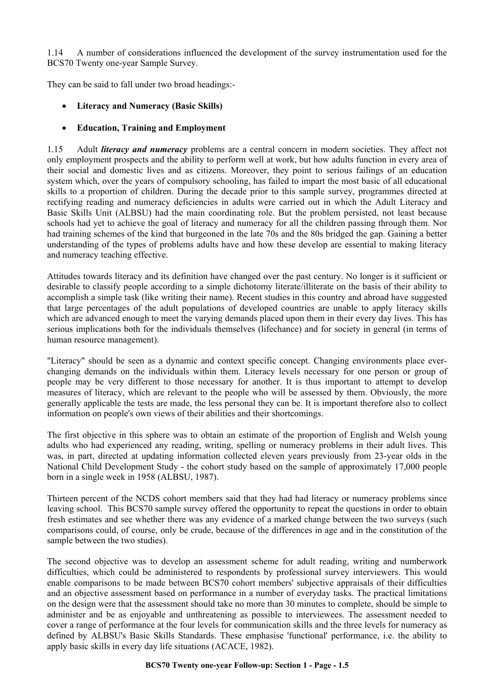1.14 A number of considerations influenced the development of the survey instrumentation used for the BCS70 Twenty one-year Sample Survey.

They can be said to fall under two broad headings:-

- **Literacy and Numeracy (Basic Skills)**
- **Education, Training and Employment**

1.15 Adult *literacy and numeracy* problems are a central concern in modern societies. They affect not only employment prospects and the ability to perform well at work, but how adults function in every area of their social and domestic lives and as citizens. Moreover, they point to serious failings of an education system which, over the years of compulsory schooling, has failed to impart the most basic of all educational skills to a proportion of children. During the decade prior to this sample survey, programmes directed at rectifying reading and numeracy deficiencies in adults were carried out in which the Adult Literacy and Basic Skills Unit (ALBSU) had the main coordinating role. But the problem persisted, not least because schools had yet to achieve the goal of literacy and numeracy for all the children passing through them. Nor had training schemes of the kind that burgeoned in the late 70s and the 80s bridged the gap. Gaining a better understanding of the types of problems adults have and how these develop are essential to making literacy and numeracy teaching effective.

Attitudes towards literacy and its definition have changed over the past century. No longer is it sufficient or desirable to classify people according to a simple dichotomy literate/illiterate on the basis of their ability to accomplish a simple task (like writing their name). Recent studies in this country and abroad have suggested that large percentages of the adult populations of developed countries are unable to apply literacy skills which are advanced enough to meet the varying demands placed upon them in their every day lives. This has serious implications both for the individuals themselves (lifechance) and for society in general (in terms of human resource management).

"Literacy" should be seen as a dynamic and context specific concept. Changing environments place everchanging demands on the individuals within them. Literacy levels necessary for one person or group of people may be very different to those necessary for another. It is thus important to attempt to develop measures of literacy, which are relevant to the people who will be assessed by them. Obviously, the more generally applicable the tests are made, the less personal they can be. It is important therefore also to collect information on people's own views of their abilities and their shortcomings.

The first objective in this sphere was to obtain an estimate of the proportion of English and Welsh young adults who had experienced any reading, writing, spelling or numeracy problems in their adult lives. This was, in part, directed at updating information collected eleven years previously from 23-year olds in the National Child Development Study - the cohort study based on the sample of approximately 17,000 people born in a single week in 1958 (ALBSU, 1987).

Thirteen percent of the NCDS cohort members said that they had had literacy or numeracy problems since leaving school. This BCS70 sample survey offered the opportunity to repeat the questions in order to obtain fresh estimates and see whether there was any evidence of a marked change between the two surveys (such comparisons could, of course, only be crude, because of the differences in age and in the constitution of the sample between the two studies).

The second objective was to develop an assessment scheme for adult reading, writing and numberwork difficulties, which could be administered to respondents by professional survey interviewers. This would enable comparisons to be made between BCS70 cohort members' subjective appraisals of their difficulties and an objective assessment based on performance in a number of everyday tasks. The practical limitations on the design were that the assessment should take no more than 30 minutes to complete, should be simple to administer and be as enjoyable and unthreatening as possible to interviewees. The assessment needed to cover a range of performance at the four levels for communication skills and the three levels for numeracy as defined by ALBSU's Basic Skills Standards. These emphasise 'functional' performance, i.e. the ability to apply basic skills in every day life situations (ACACE, 1982).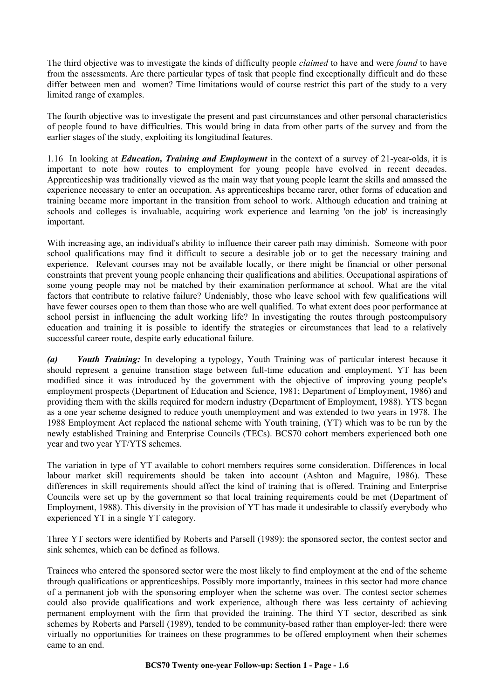The third objective was to investigate the kinds of difficulty people *claimed* to have and were *found* to have from the assessments. Are there particular types of task that people find exceptionally difficult and do these differ between men and women? Time limitations would of course restrict this part of the study to a very limited range of examples.

The fourth objective was to investigate the present and past circumstances and other personal characteristics of people found to have difficulties. This would bring in data from other parts of the survey and from the earlier stages of the study, exploiting its longitudinal features.

1.16 In looking at *Education, Training and Employment* in the context of a survey of 21-year-olds, it is important to note how routes to employment for young people have evolved in recent decades. Apprenticeship was traditionally viewed as the main way that young people learnt the skills and amassed the experience necessary to enter an occupation. As apprenticeships became rarer, other forms of education and training became more important in the transition from school to work. Although education and training at schools and colleges is invaluable, acquiring work experience and learning 'on the job' is increasingly important.

With increasing age, an individual's ability to influence their career path may diminish. Someone with poor school qualifications may find it difficult to secure a desirable job or to get the necessary training and experience. Relevant courses may not be available locally, or there might be financial or other personal constraints that prevent young people enhancing their qualifications and abilities. Occupational aspirations of some young people may not be matched by their examination performance at school. What are the vital factors that contribute to relative failure? Undeniably, those who leave school with few qualifications will have fewer courses open to them than those who are well qualified. To what extent does poor performance at school persist in influencing the adult working life? In investigating the routes through postcompulsory education and training it is possible to identify the strategies or circumstances that lead to a relatively successful career route, despite early educational failure.

*(a) Youth Training:* In developing a typology, Youth Training was of particular interest because it should represent a genuine transition stage between full-time education and employment. YT has been modified since it was introduced by the government with the objective of improving young people's employment prospects (Department of Education and Science, 1981; Department of Employment, 1986) and providing them with the skills required for modern industry (Department of Employment, 1988). YTS began as a one year scheme designed to reduce youth unemployment and was extended to two years in 1978. The 1988 Employment Act replaced the national scheme with Youth training, (YT) which was to be run by the newly established Training and Enterprise Councils (TECs). BCS70 cohort members experienced both one year and two year YT/YTS schemes.

The variation in type of YT available to cohort members requires some consideration. Differences in local labour market skill requirements should be taken into account (Ashton and Maguire, 1986). These differences in skill requirements should affect the kind of training that is offered. Training and Enterprise Councils were set up by the government so that local training requirements could be met (Department of Employment, 1988). This diversity in the provision of YT has made it undesirable to classify everybody who experienced YT in a single YT category.

Three YT sectors were identified by Roberts and Parsell (1989): the sponsored sector, the contest sector and sink schemes, which can be defined as follows.

Trainees who entered the sponsored sector were the most likely to find employment at the end of the scheme through qualifications or apprenticeships. Possibly more importantly, trainees in this sector had more chance of a permanent job with the sponsoring employer when the scheme was over. The contest sector schemes could also provide qualifications and work experience, although there was less certainty of achieving permanent employment with the firm that provided the training. The third YT sector, described as sink schemes by Roberts and Parsell (1989), tended to be community-based rather than employer-led: there were virtually no opportunities for trainees on these programmes to be offered employment when their schemes came to an end.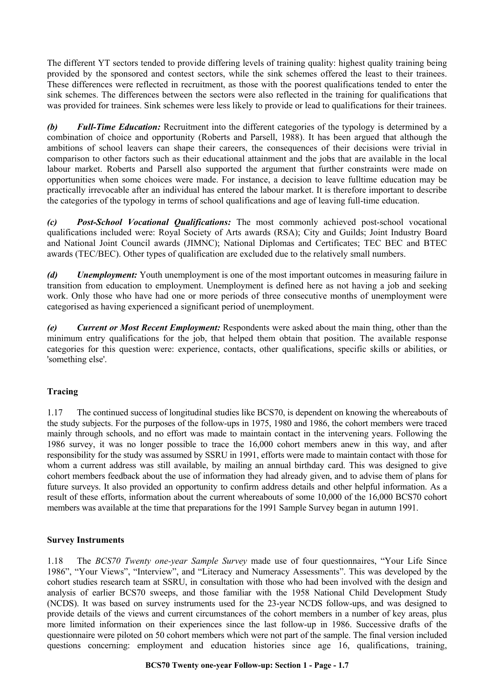The different YT sectors tended to provide differing levels of training quality: highest quality training being provided by the sponsored and contest sectors, while the sink schemes offered the least to their trainees. These differences were reflected in recruitment, as those with the poorest qualifications tended to enter the sink schemes. The differences between the sectors were also reflected in the training for qualifications that was provided for trainees. Sink schemes were less likely to provide or lead to qualifications for their trainees.

*(b) Full-Time Education:* Recruitment into the different categories of the typology is determined by a combination of choice and opportunity (Roberts and Parsell, 1988). It has been argued that although the ambitions of school leavers can shape their careers, the consequences of their decisions were trivial in comparison to other factors such as their educational attainment and the jobs that are available in the local labour market. Roberts and Parsell also supported the argument that further constraints were made on opportunities when some choices were made. For instance, a decision to leave fulltime education may be practically irrevocable after an individual has entered the labour market. It is therefore important to describe the categories of the typology in terms of school qualifications and age of leaving full-time education.

*(c) Post-School Vocational Qualifications:* The most commonly achieved post-school vocational qualifications included were: Royal Society of Arts awards (RSA); City and Guilds; Joint Industry Board and National Joint Council awards (JIMNC); National Diplomas and Certificates; TEC BEC and BTEC awards (TEC/BEC). Other types of qualification are excluded due to the relatively small numbers.

*(d) Unemployment:* Youth unemployment is one of the most important outcomes in measuring failure in transition from education to employment. Unemployment is defined here as not having a job and seeking work. Only those who have had one or more periods of three consecutive months of unemployment were categorised as having experienced a significant period of unemployment.

*(e) Current or Most Recent Employment:* Respondents were asked about the main thing, other than the minimum entry qualifications for the job, that helped them obtain that position. The available response categories for this question were: experience, contacts, other qualifications, specific skills or abilities, or 'something else'.

# **Tracing**

1.17 The continued success of longitudinal studies like BCS70, is dependent on knowing the whereabouts of the study subjects. For the purposes of the follow-ups in 1975, 1980 and 1986, the cohort members were traced mainly through schools, and no effort was made to maintain contact in the intervening years. Following the 1986 survey, it was no longer possible to trace the 16,000 cohort members anew in this way, and after responsibility for the study was assumed by SSRU in 1991, efforts were made to maintain contact with those for whom a current address was still available, by mailing an annual birthday card. This was designed to give cohort members feedback about the use of information they had already given, and to advise them of plans for future surveys. It also provided an opportunity to confirm address details and other helpful information. As a result of these efforts, information about the current whereabouts of some 10,000 of the 16,000 BCS70 cohort members was available at the time that preparations for the 1991 Sample Survey began in autumn 1991.

## **Survey Instruments**

1.18 The *BCS70 Twenty one-year Sample Survey* made use of four questionnaires, "Your Life Since 1986", "Your Views", "Interview", and "Literacy and Numeracy Assessments". This was developed by the cohort studies research team at SSRU, in consultation with those who had been involved with the design and analysis of earlier BCS70 sweeps, and those familiar with the 1958 National Child Development Study (NCDS). It was based on survey instruments used for the 23-year NCDS follow-ups, and was designed to provide details of the views and current circumstances of the cohort members in a number of key areas, plus more limited information on their experiences since the last follow-up in 1986. Successive drafts of the questionnaire were piloted on 50 cohort members which were not part of the sample. The final version included questions concerning: employment and education histories since age 16, qualifications, training,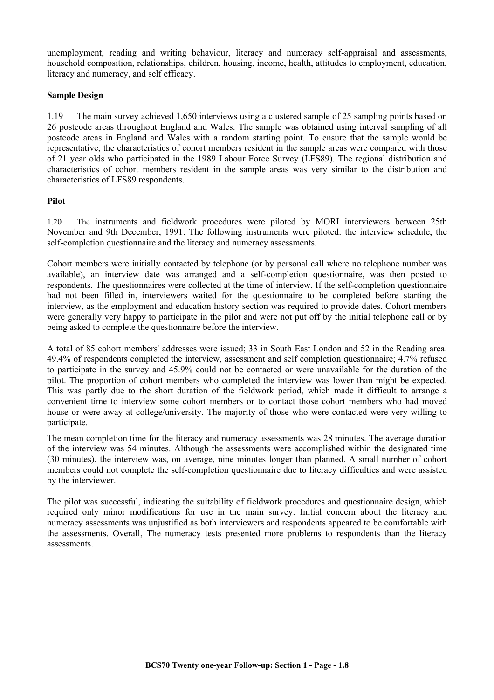unemployment, reading and writing behaviour, literacy and numeracy self-appraisal and assessments, household composition, relationships, children, housing, income, health, attitudes to employment, education, literacy and numeracy, and self efficacy.

#### **Sample Design**

1.19 The main survey achieved 1,650 interviews using a clustered sample of 25 sampling points based on 26 postcode areas throughout England and Wales. The sample was obtained using interval sampling of all postcode areas in England and Wales with a random starting point. To ensure that the sample would be representative, the characteristics of cohort members resident in the sample areas were compared with those of 21 year olds who participated in the 1989 Labour Force Survey (LFS89). The regional distribution and characteristics of cohort members resident in the sample areas was very similar to the distribution and characteristics of LFS89 respondents.

#### **Pilot**

1.20 The instruments and fieldwork procedures were piloted by MORI interviewers between 25th November and 9th December, 1991. The following instruments were piloted: the interview schedule, the self-completion questionnaire and the literacy and numeracy assessments.

Cohort members were initially contacted by telephone (or by personal call where no telephone number was available), an interview date was arranged and a self-completion questionnaire, was then posted to respondents. The questionnaires were collected at the time of interview. If the self-completion questionnaire had not been filled in, interviewers waited for the questionnaire to be completed before starting the interview, as the employment and education history section was required to provide dates. Cohort members were generally very happy to participate in the pilot and were not put off by the initial telephone call or by being asked to complete the questionnaire before the interview.

A total of 85 cohort members' addresses were issued; 33 in South East London and 52 in the Reading area. 49.4% of respondents completed the interview, assessment and self completion questionnaire; 4.7% refused to participate in the survey and 45.9% could not be contacted or were unavailable for the duration of the pilot. The proportion of cohort members who completed the interview was lower than might be expected. This was partly due to the short duration of the fieldwork period, which made it difficult to arrange a convenient time to interview some cohort members or to contact those cohort members who had moved house or were away at college/university. The majority of those who were contacted were very willing to participate.

The mean completion time for the literacy and numeracy assessments was 28 minutes. The average duration of the interview was 54 minutes. Although the assessments were accomplished within the designated time (30 minutes), the interview was, on average, nine minutes longer than planned. A small number of cohort members could not complete the self-completion questionnaire due to literacy difficulties and were assisted by the interviewer.

The pilot was successful, indicating the suitability of fieldwork procedures and questionnaire design, which required only minor modifications for use in the main survey. Initial concern about the literacy and numeracy assessments was unjustified as both interviewers and respondents appeared to be comfortable with the assessments. Overall, The numeracy tests presented more problems to respondents than the literacy assessments.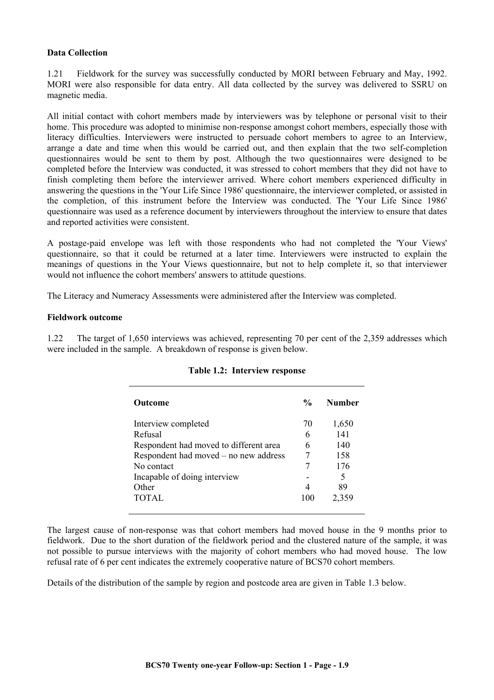#### **Data Collection**

1.21 Fieldwork for the survey was successfully conducted by MORI between February and May, 1992. MORI were also responsible for data entry. All data collected by the survey was delivered to SSRU on magnetic media.

All initial contact with cohort members made by interviewers was by telephone or personal visit to their home. This procedure was adopted to minimise non-response amongst cohort members, especially those with literacy difficulties. Interviewers were instructed to persuade cohort members to agree to an Interview, arrange a date and time when this would be carried out, and then explain that the two self-completion questionnaires would be sent to them by post. Although the two questionnaires were designed to be completed before the Interview was conducted, it was stressed to cohort members that they did not have to finish completing them before the interviewer arrived. Where cohort members experienced difficulty in answering the questions in the 'Your Life Since 1986' questionnaire, the interviewer completed, or assisted in the completion, of this instrument before the Interview was conducted. The 'Your Life Since 1986' questionnaire was used as a reference document by interviewers throughout the interview to ensure that dates and reported activities were consistent.

A postage-paid envelope was left with those respondents who had not completed the 'Your Views' questionnaire, so that it could be returned at a later time. Interviewers were instructed to explain the meanings of questions in the Your Views questionnaire, but not to help complete it, so that interviewer would not influence the cohort members' answers to attitude questions.

The Literacy and Numeracy Assessments were administered after the Interview was completed.

#### **Fieldwork outcome**

1.22 The target of 1,650 interviews was achieved, representing 70 per cent of the 2,359 addresses which were included in the sample. A breakdown of response is given below.

| <b>Outcome</b>                         | $\frac{0}{0}$ | <b>Number</b> |
|----------------------------------------|---------------|---------------|
| Interview completed                    | 70            | 1,650         |
| Refusal                                | 6             | 141           |
| Respondent had moved to different area | 6             | 140           |
| Respondent had moved – no new address  |               | 158           |
| No contact                             |               | 176           |
| Incapable of doing interview           |               | 5             |
| Other                                  |               | 89            |
| <b>TOTAL</b>                           | 100           | 2,359         |

#### **Table 1.2: Interview response**

The largest cause of non-response was that cohort members had moved house in the 9 months prior to fieldwork. Due to the short duration of the fieldwork period and the clustered nature of the sample, it was not possible to pursue interviews with the majority of cohort members who had moved house. The low refusal rate of 6 per cent indicates the extremely cooperative nature of BCS70 cohort members.

Details of the distribution of the sample by region and postcode area are given in Table 1.3 below.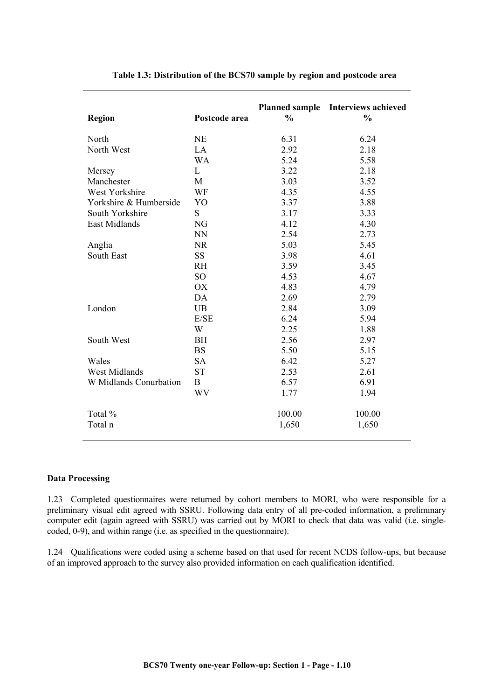| Region                 | Postcode area   | $\frac{0}{0}$ | Planned sample Interviews achieved<br>$\frac{0}{0}$ |
|------------------------|-----------------|---------------|-----------------------------------------------------|
| North                  | <b>NE</b>       | 6.31          | 6.24                                                |
| North West             | LA              | 2.92          | 2.18                                                |
|                        | <b>WA</b>       | 5.24          | 5.58                                                |
| Mersey                 | L               | 3.22          | 2.18                                                |
| Manchester             | M               | 3.03          | 3.52                                                |
| West Yorkshire         | WF              | 4.35          | 4.55                                                |
| Yorkshire & Humberside | YO              | 3.37          | 3.88                                                |
| South Yorkshire        | S               | 3.17          | 3.33                                                |
| East Midlands          | NG              | 4.12          | 4.30                                                |
|                        | <b>NN</b>       | 2.54          | 2.73                                                |
| Anglia                 | <b>NR</b>       | 5.03          | 5.45                                                |
| <b>South East</b>      | <b>SS</b>       | 3.98          | 4.61                                                |
|                        | <b>RH</b>       | 3.59          | 3.45                                                |
|                        | SO <sub>1</sub> | 4.53          | 4.67                                                |
|                        | OX              | 4.83          | 4.79                                                |
|                        | DA              | 2.69          | 2.79                                                |
| London                 | <b>UB</b>       | 2.84          | 3.09                                                |
|                        | E/SE            | 6.24          | 5.94                                                |
|                        | W               | 2.25          | 1.88                                                |
| South West             | <b>BH</b>       | 2.56          | 2.97                                                |
|                        | <b>BS</b>       | 5.50          | 5.15                                                |
| Wales                  | <b>SA</b>       | 6.42          | 5.27                                                |
| <b>West Midlands</b>   | <b>ST</b>       | 2.53          | 2.61                                                |
| W Midlands Conurbation | $\bf{B}$        | 6.57          | 6.91                                                |
|                        | WV              | 1.77          | 1.94                                                |
| Total %                |                 | 100.00        | 100.00                                              |
| Total n                |                 | 1,650         | 1,650                                               |

#### **Table 1.3: Distribution of the BCS70 sample by region and postcode area**

#### **Data Processing**

1.23 Completed questionnaires were returned by cohort members to MORI, who were responsible for a preliminary visual edit agreed with SSRU. Following data entry of all pre-coded information, a preliminary computer edit (again agreed with SSRU) was carried out by MORI to check that data was valid (i.e. singlecoded, 0-9), and within range (i.e. as specified in the questionnaire).

1.24 Qualifications were coded using a scheme based on that used for recent NCDS follow-ups, but because of an improved approach to the survey also provided information on each qualification identified.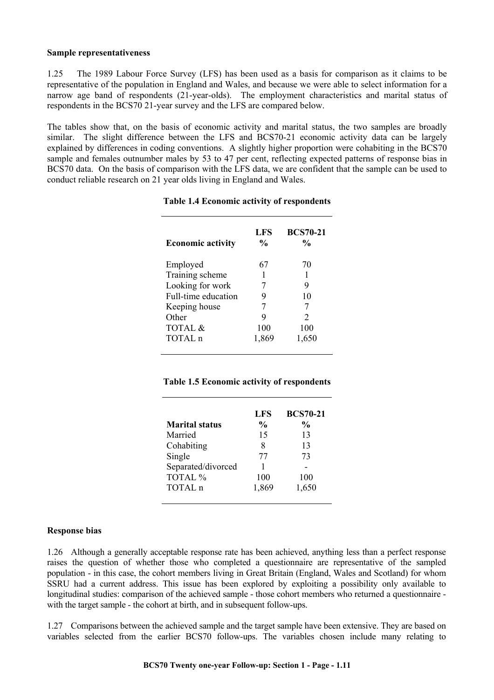#### **Sample representativeness**

1.25 The 1989 Labour Force Survey (LFS) has been used as a basis for comparison as it claims to be representative of the population in England and Wales, and because we were able to select information for a narrow age band of respondents (21-year-olds). The employment characteristics and marital status of respondents in the BCS70 21-year survey and the LFS are compared below.

The tables show that, on the basis of economic activity and marital status, the two samples are broadly similar. The slight difference between the LFS and BCS70-21 economic activity data can be largely explained by differences in coding conventions. A slightly higher proportion were cohabiting in the BCS70 sample and females outnumber males by 53 to 47 per cent, reflecting expected patterns of response bias in BCS70 data. On the basis of comparison with the LFS data, we are confident that the sample can be used to conduct reliable research on 21 year olds living in England and Wales.

| <b>Economic activity</b> | LFS<br>$\frac{0}{0}$ | <b>BCS70-21</b><br>$\frac{6}{10}$ |
|--------------------------|----------------------|-----------------------------------|
| Employed                 | 67                   | 70                                |
| Training scheme          |                      | 1                                 |
| Looking for work         | 7                    | 9                                 |
| Full-time education      | 9                    | 10                                |
| Keeping house            | 7                    | 7                                 |
| Other                    | 9                    | $\mathfrak{D}$                    |
| TOTAL &                  | 100                  | 100                               |
| TOTAL n                  | 1,869                | 1,650                             |

#### **Table 1.4 Economic activity of respondents**

#### **Table 1.5 Economic activity of respondents**

|                       | <b>LFS</b>    | <b>BCS70-21</b> |
|-----------------------|---------------|-----------------|
| <b>Marital status</b> | $\frac{0}{0}$ | $\frac{0}{0}$   |
| Married               | 15            | 13              |
| Cohabiting            | 8             | 13              |
| Single                | 77            | 73              |
| Separated/divorced    |               |                 |
| TOTAL %               | 100           | 100             |
| TOTAL n               | 1,869         | 1,650           |
|                       |               |                 |

#### **Response bias**

1.26 Although a generally acceptable response rate has been achieved, anything less than a perfect response raises the question of whether those who completed a questionnaire are representative of the sampled population - in this case, the cohort members living in Great Britain (England, Wales and Scotland) for whom SSRU had a current address. This issue has been explored by exploiting a possibility only available to longitudinal studies: comparison of the achieved sample - those cohort members who returned a questionnaire with the target sample - the cohort at birth, and in subsequent follow-ups.

1.27 Comparisons between the achieved sample and the target sample have been extensive. They are based on variables selected from the earlier BCS70 follow-ups. The variables chosen include many relating to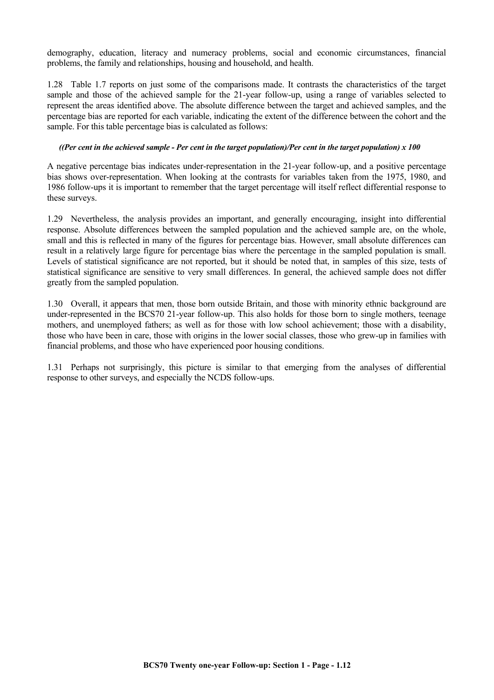demography, education, literacy and numeracy problems, social and economic circumstances, financial problems, the family and relationships, housing and household, and health.

1.28 Table 1.7 reports on just some of the comparisons made. It contrasts the characteristics of the target sample and those of the achieved sample for the 21-year follow-up, using a range of variables selected to represent the areas identified above. The absolute difference between the target and achieved samples, and the percentage bias are reported for each variable, indicating the extent of the difference between the cohort and the sample. For this table percentage bias is calculated as follows:

#### *((Per cent in the achieved sample - Per cent in the target population)/Per cent in the target population) x 100*

A negative percentage bias indicates under-representation in the 21-year follow-up, and a positive percentage bias shows over-representation. When looking at the contrasts for variables taken from the 1975, 1980, and 1986 follow-ups it is important to remember that the target percentage will itself reflect differential response to these surveys.

1.29 Nevertheless, the analysis provides an important, and generally encouraging, insight into differential response. Absolute differences between the sampled population and the achieved sample are, on the whole, small and this is reflected in many of the figures for percentage bias. However, small absolute differences can result in a relatively large figure for percentage bias where the percentage in the sampled population is small. Levels of statistical significance are not reported, but it should be noted that, in samples of this size, tests of statistical significance are sensitive to very small differences. In general, the achieved sample does not differ greatly from the sampled population.

1.30 Overall, it appears that men, those born outside Britain, and those with minority ethnic background are under-represented in the BCS70 21-year follow-up. This also holds for those born to single mothers, teenage mothers, and unemployed fathers; as well as for those with low school achievement; those with a disability, those who have been in care, those with origins in the lower social classes, those who grew-up in families with financial problems, and those who have experienced poor housing conditions.

1.31 Perhaps not surprisingly, this picture is similar to that emerging from the analyses of differential response to other surveys, and especially the NCDS follow-ups.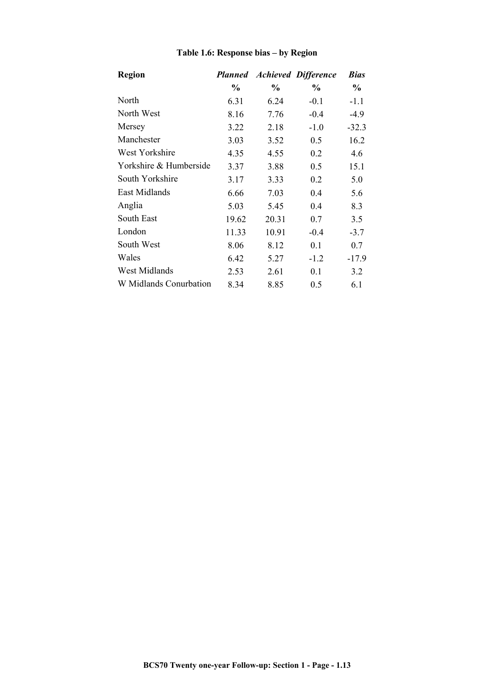| <b>Region</b>          | <b>Planned</b> |       | <b>Achieved Difference</b> | <b>Bias</b> |
|------------------------|----------------|-------|----------------------------|-------------|
|                        | $\%$           | $\%$  | $\%$                       | $\%$        |
| North                  | 6.31           | 6.24  | $-0.1$                     | $-1.1$      |
| North West             | 8.16           | 7.76  | $-0.4$                     | $-4.9$      |
| Mersey                 | 3.22           | 2.18  | $-1.0$                     | $-32.3$     |
| Manchester             | 3.03           | 3.52  | 0.5                        | 16.2        |
| West Yorkshire         | 4.35           | 4.55  | 0.2                        | 4.6         |
| Yorkshire & Humberside | 3.37           | 3.88  | 0.5                        | 15.1        |
| South Yorkshire        | 3.17           | 3.33  | 0.2                        | 5.0         |
| East Midlands          | 6.66           | 7.03  | 0.4                        | 5.6         |
| Anglia                 | 5.03           | 5.45  | 0.4                        | 8.3         |
| South East             | 19.62          | 20.31 | 0.7                        | 3.5         |
| London                 | 11.33          | 10.91 | $-0.4$                     | $-3.7$      |
| South West             | 8.06           | 8.12  | 0.1                        | 0.7         |
| Wales                  | 6.42           | 5.27  | $-1.2$                     | $-17.9$     |
| West Midlands          | 2.53           | 2.61  | 0.1                        | 3.2         |
| W Midlands Conurbation | 8.34           | 8.85  | 0.5                        | 6.1         |

# **Table 1.6: Response bias – by Region**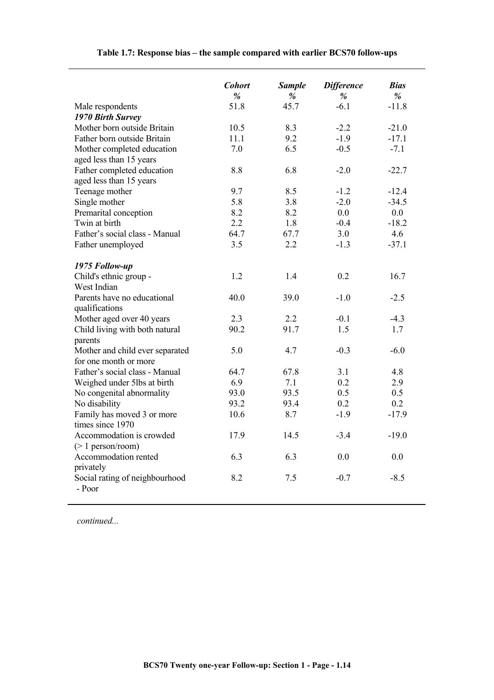|                                                       | <b>Cohort</b> | <b>Sample</b> | <b>Difference</b> | <b>Bias</b>  |
|-------------------------------------------------------|---------------|---------------|-------------------|--------------|
|                                                       | %<br>51.8     | %<br>45.7     | %<br>$-6.1$       | %<br>$-11.8$ |
| Male respondents                                      |               |               |                   |              |
| 1970 Birth Survey<br>Mother born outside Britain      | 10.5          | 8.3           | $-2.2$            | $-21.0$      |
| Father born outside Britain                           | 11.1          | 9.2           | $-1.9$            | $-17.1$      |
|                                                       | 7.0           | 6.5           | $-0.5$            | $-7.1$       |
| Mother completed education<br>aged less than 15 years |               |               |                   |              |
| Father completed education                            | 8.8           | 6.8           | $-2.0$            | $-22.7$      |
| aged less than 15 years                               |               |               |                   |              |
| Teenage mother                                        | 9.7           | 8.5           | $-1.2$            | $-12.4$      |
| Single mother                                         | 5.8           | 3.8           | $-2.0$            | $-34.5$      |
| Premarital conception                                 | 8.2           | 8.2           | 0.0               | 0.0          |
| Twin at birth                                         | 2.2           | 1.8           | $-0.4$            | $-18.2$      |
| Father's social class - Manual                        | 64.7          | 67.7          | 3.0               | 4.6          |
|                                                       | 3.5           | 2.2           | $-1.3$            | $-37.1$      |
| Father unemployed                                     |               |               |                   |              |
| 1975 Follow-up                                        |               |               |                   |              |
| Child's ethnic group -                                | 1.2           | 1.4           | 0.2               | 16.7         |
| West Indian                                           |               |               |                   |              |
| Parents have no educational                           | 40.0          | 39.0          | $-1.0$            | $-2.5$       |
| qualifications                                        |               |               |                   |              |
| Mother aged over 40 years                             | 2.3           | 2.2           | $-0.1$            | $-4.3$       |
| Child living with both natural                        | 90.2          | 91.7          | 1.5               | 1.7          |
| parents                                               |               |               |                   |              |
| Mother and child ever separated                       | 5.0           | 4.7           | $-0.3$            | $-6.0$       |
| for one month or more                                 |               |               |                   |              |
| Father's social class - Manual                        | 64.7          | 67.8          | 3.1               | 4.8          |
| Weighed under 5lbs at birth                           | 6.9           | 7.1           | 0.2               | 2.9          |
| No congenital abnormality                             | 93.0          | 93.5          | 0.5               | 0.5          |
| No disability                                         | 93.2          | 93.4          | 0.2               | 0.2          |
| Family has moved 3 or more                            | 10.6          | 8.7           | $-1.9$            | $-17.9$      |
| times since 1970                                      |               |               |                   |              |
| Accommodation is crowded                              | 17.9          | 14.5          | $-3.4$            | $-19.0$      |
| $(> 1$ person/room)                                   |               |               |                   |              |
| Accommodation rented                                  | 6.3           | 6.3           | 0.0               | 0.0          |
| privately                                             |               |               |                   |              |
| Social rating of neighbourhood                        | 8.2           | 7.5           | $-0.7$            | $-8.5$       |
| - Poor                                                |               |               |                   |              |
|                                                       |               |               |                   |              |

# **Table 1.7: Response bias – the sample compared with earlier BCS70 follow-ups**

*continued...*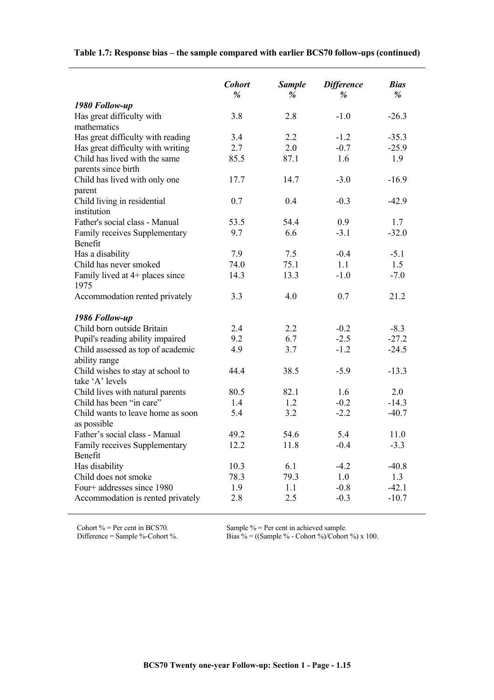|                                            | <b>Cohort</b><br>% | <b>Sample</b><br>% | <b>Difference</b><br>$\frac{9}{6}$ | <b>Bias</b><br>% |
|--------------------------------------------|--------------------|--------------------|------------------------------------|------------------|
| 1980 Follow-up                             |                    |                    |                                    |                  |
| Has great difficulty with                  | 3.8                | 2.8                | $-1.0$                             | $-26.3$          |
| mathematics                                |                    |                    |                                    |                  |
| Has great difficulty with reading          | 3.4                | 2.2                | $-1.2$                             | $-35.3$          |
| Has great difficulty with writing          | 2.7                | 2.0                | $-0.7$                             | $-25.9$          |
| Child has lived with the same              | 85.5               | 87.1               | 1.6                                | 1.9              |
| parents since birth                        |                    |                    |                                    |                  |
| Child has lived with only one              | 17.7               | 14.7               | $-3.0$                             | $-16.9$          |
| parent                                     |                    |                    |                                    |                  |
| Child living in residential<br>institution | 0.7                | 0.4                | $-0.3$                             | $-42.9$          |
| Father's social class - Manual             | 53.5               | 54.4               | 0.9                                | 1.7              |
| Family receives Supplementary              | 9.7                | 6.6                | $-3.1$                             | $-32.0$          |
| Benefit                                    |                    |                    |                                    |                  |
| Has a disability                           | 7.9                | 7.5                | $-0.4$                             | $-5.1$           |
| Child has never smoked                     | 74.0               | 75.1               | 1.1                                | 1.5              |
| Family lived at 4+ places since            | 14.3               | 13.3               | $-1.0$                             | $-7.0$           |
| 1975                                       |                    |                    |                                    |                  |
| Accommodation rented privately             | 3.3                | 4.0                | 0.7                                | 21.2             |
| 1986 Follow-up                             |                    |                    |                                    |                  |
| Child born outside Britain                 | 2.4                | 2.2                | $-0.2$                             | $-8.3$           |
| Pupil's reading ability impaired           | 9.2                | 6.7                | $-2.5$                             | $-27.2$          |
| Child assessed as top of academic          | 4.9                | 3.7                | $-1.2$                             | $-24.5$          |
| ability range                              |                    |                    |                                    |                  |
| Child wishes to stay at school to          | 44.4               | 38.5               | $-5.9$                             | $-13.3$          |
| take 'A' levels                            |                    |                    |                                    |                  |
| Child lives with natural parents           | 80.5               | 82.1               | 1.6                                | 2.0              |
| Child has been "in care"                   | 1.4                | 1.2                | $-0.2$                             | $-14.3$          |
| Child wants to leave home as soon          | 5.4                | 3.2                | $-2.2$                             | $-40.7$          |
| as possible                                |                    |                    |                                    |                  |
| Father's social class - Manual             | 49.2               | 54.6               | 5.4                                | 11.0             |
| Family receives Supplementary              | 12.2               | 11.8               | $-0.4$                             | $-3.3$           |
| Benefit                                    |                    |                    |                                    |                  |
| Has disability                             | 10.3               | 6.1                | $-4.2$                             | $-40.8$          |
| Child does not smoke                       | 78.3               | 79.3               | 1.0                                | 1.3              |
| Four+ addresses since 1980                 | 1.9                | 1.1                | $-0.8$                             | $-42.1$          |
| Accommodation is rented privately          | 2.8                | 2.5                | $-0.3$                             | $-10.7$          |

# **Table 1.7: Response bias – the sample compared with earlier BCS70 follow-ups (continued)**

Cohort % = Per cent in BCS70. Sample % = Per cent in achieved sample.

Difference = Sample %-Cohort %. Bias % = ((Sample % - Cohort %)/Cohort %) x 100.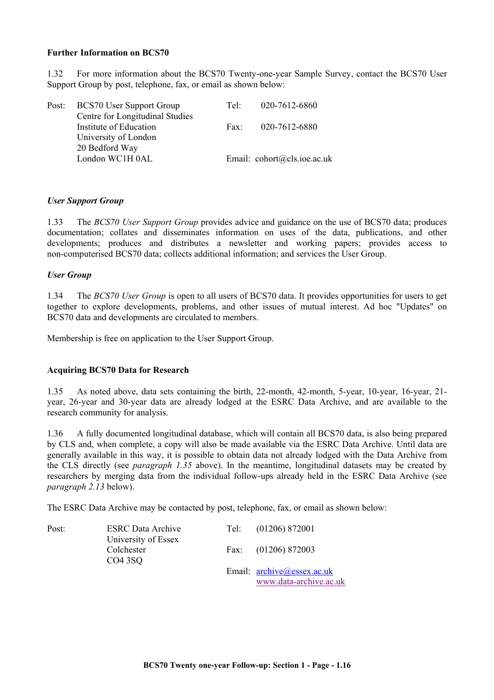#### **Further Information on BCS70**

1.32 For more information about the BCS70 Twenty-one-year Sample Survey, contact the BCS70 User Support Group by post, telephone, fax, or email as shown below:

| Post: BCS70 User Support Group  | Te <sup>1</sup> | 020-7612-6860                                         |
|---------------------------------|-----------------|-------------------------------------------------------|
| Centre for Longitudinal Studies |                 |                                                       |
| Institute of Education          | Fax:            | 020-7612-6880                                         |
| University of London            |                 |                                                       |
| 20 Bedford Way                  |                 |                                                       |
| London WC1H 0AL                 |                 | Email: $\text{cohort}(\partial \text{cls.ioe.ac.uk})$ |
|                                 |                 |                                                       |

#### *User Support Group*

1.33 The *BCS70 User Support Group* provides advice and guidance on the use of BCS70 data; produces documentation; collates and disseminates information on uses of the data, publications, and other developments; produces and distributes a newsletter and working papers; provides access to non-computerised BCS70 data; collects additional information; and services the User Group.

#### *User Group*

1.34 The *BCS70 User Group* is open to all users of BCS70 data. It provides opportunities for users to get together to explore developments, problems, and other issues of mutual interest. Ad hoc "Updates" on BCS70 data and developments are circulated to members.

Membership is free on application to the User Support Group.

#### **Acquiring BCS70 Data for Research**

1.35 As noted above, data sets containing the birth, 22-month, 42-month, 5-year, 10-year, 16-year, 21 year, 26-year and 30-year data are already lodged at the ESRC Data Archive, and are available to the research community for analysis.

1.36 A fully documented longitudinal database, which will contain all BCS70 data, is also being prepared by CLS and, when complete, a copy will also be made available via the ESRC Data Archive. Until data are generally available in this way, it is possible to obtain data not already lodged with the Data Archive from the CLS directly (see *paragraph 1.35* above). In the meantime, longitudinal datasets may be created by researchers by merging data from the individual follow-ups already held in the ESRC Data Archive (see *paragraph 2.13* below).

The ESRC Data Archive may be contacted by post, telephone, fax, or email as shown below:

| Post: | <b>ESRC</b> Data Archive        | Tel: (01206) 872001        |
|-------|---------------------------------|----------------------------|
|       | University of Essex             |                            |
|       | Colchester                      | Fax: $(01206) 872003$      |
|       | CO <sub>4</sub> 3S <sub>Q</sub> |                            |
|       |                                 | Email: archive@essex.ac.uk |
|       |                                 | www.data-archive.ac.uk     |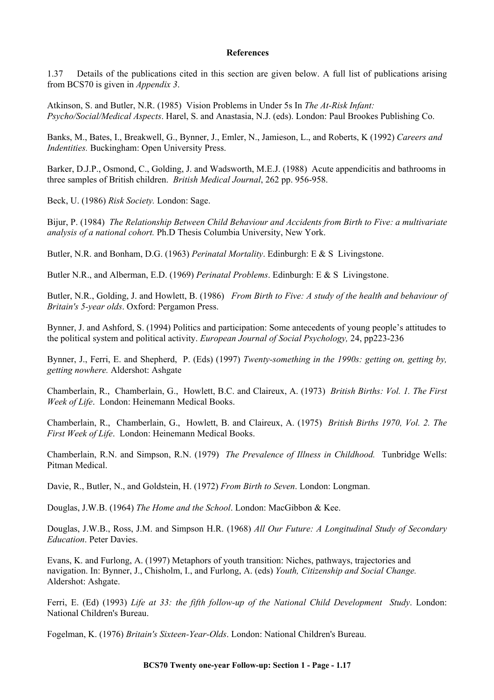#### **References**

1.37 Details of the publications cited in this section are given below. A full list of publications arising from BCS70 is given in *Appendix 3*.

Atkinson, S. and Butler, N.R. (1985) Vision Problems in Under 5s In *The At-Risk Infant: Psycho/Social/Medical Aspects*. Harel, S. and Anastasia, N.J. (eds). London: Paul Brookes Publishing Co.

Banks, M., Bates, I., Breakwell, G., Bynner, J., Emler, N., Jamieson, L., and Roberts, K (1992) *Careers and Indentities.* Buckingham: Open University Press.

Barker, D.J.P., Osmond, C., Golding, J. and Wadsworth, M.E.J. (1988) Acute appendicitis and bathrooms in three samples of British children. *British Medical Journal*, 262 pp. 956-958.

Beck, U. (1986) *Risk Society.* London: Sage.

Bijur, P. (1984) *The Relationship Between Child Behaviour and Accidents from Birth to Five: a multivariate analysis of a national cohort.* Ph.D Thesis Columbia University, New York.

Butler, N.R. and Bonham, D.G. (1963) *Perinatal Mortality*. Edinburgh: E & S Livingstone.

Butler N.R., and Alberman, E.D. (1969) *Perinatal Problems*. Edinburgh: E & S Livingstone.

Butler, N.R., Golding, J. and Howlett, B. (1986) *From Birth to Five: A study of the health and behaviour of Britain's 5-year olds*. Oxford: Pergamon Press.

Bynner, J. and Ashford, S. (1994) Politics and participation: Some antecedents of young people's attitudes to the political system and political activity. *European Journal of Social Psychology,* 24, pp223-236

Bynner, J., Ferri, E. and Shepherd, P. (Eds) (1997) *Twenty-something in the 1990s: getting on, getting by, getting nowhere.* Aldershot: Ashgate

Chamberlain, R., Chamberlain, G., Howlett, B.C. and Claireux, A. (1973) *British Births: Vol. 1. The First Week of Life*. London: Heinemann Medical Books.

Chamberlain, R., Chamberlain, G., Howlett, B. and Claireux, A. (1975) *British Births 1970, Vol. 2. The First Week of Life*. London: Heinemann Medical Books.

Chamberlain, R.N. and Simpson, R.N. (1979) *The Prevalence of Illness in Childhood.* Tunbridge Wells: Pitman Medical.

Davie, R., Butler, N., and Goldstein, H. (1972) *From Birth to Seven*. London: Longman.

Douglas, J.W.B. (1964) *The Home and the School*. London: MacGibbon & Kee.

Douglas, J.W.B., Ross, J.M. and Simpson H.R. (1968) *All Our Future: A Longitudinal Study of Secondary Education*. Peter Davies.

Evans, K. and Furlong, A. (1997) Metaphors of youth transition: Niches, pathways, trajectories and navigation. In: Bynner, J., Chisholm, I., and Furlong, A. (eds) *Youth, Citizenship and Social Change.*  Aldershot: Ashgate.

Ferri, E. (Ed) (1993) *Life at 33: the fifth follow-up of the National Child Development Study*. London: National Children's Bureau.

Fogelman, K. (1976) *Britain's Sixteen-Year-Olds*. London: National Children's Bureau.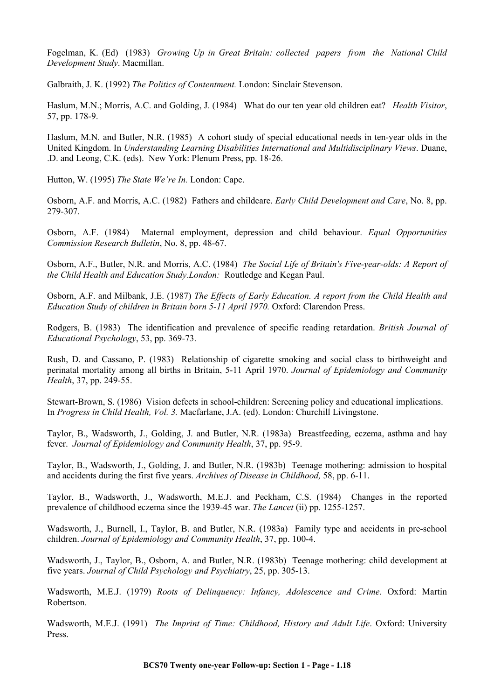Fogelman, K. (Ed) (1983) *Growing Up in Great Britain: collected papers from the National Child Development Study*. Macmillan.

Galbraith, J. K. (1992) *The Politics of Contentment.* London: Sinclair Stevenson.

Haslum, M.N.; Morris, A.C. and Golding, J. (1984) What do our ten year old children eat? *Health Visitor*, 57, pp. 178-9.

Haslum, M.N. and Butler, N.R. (1985) A cohort study of special educational needs in ten-year olds in the United Kingdom. In *Understanding Learning Disabilities International and Multidisciplinary Views*. Duane, .D. and Leong, C.K. (eds). New York: Plenum Press, pp. 18-26.

Hutton, W. (1995) *The State We're In.* London: Cape.

Osborn, A.F. and Morris, A.C. (1982) Fathers and childcare. *Early Child Development and Care*, No. 8, pp. 279-307.

Osborn, A.F. (1984) Maternal employment, depression and child behaviour. *Equal Opportunities Commission Research Bulletin*, No. 8, pp. 48-67.

Osborn, A.F., Butler, N.R. and Morris, A.C. (1984) *The Social Life of Britain's Five-year-olds: A Report of the Child Health and Education Study.London:* Routledge and Kegan Paul.

Osborn, A.F. and Milbank, J.E. (1987) *The Effects of Early Education. A report from the Child Health and Education Study of children in Britain born 5-11 April 1970.* Oxford: Clarendon Press.

Rodgers, B. (1983) The identification and prevalence of specific reading retardation. *British Journal of Educational Psychology*, 53, pp. 369-73.

Rush, D. and Cassano, P. (1983) Relationship of cigarette smoking and social class to birthweight and perinatal mortality among all births in Britain, 5-11 April 1970. *Journal of Epidemiology and Community Health*, 37, pp. 249-55.

Stewart-Brown, S. (1986) Vision defects in school-children: Screening policy and educational implications. In *Progress in Child Health, Vol. 3.* Macfarlane, J.A. (ed). London: Churchill Livingstone.

Taylor, B., Wadsworth, J., Golding, J. and Butler, N.R. (1983a) Breastfeeding, eczema, asthma and hay fever. *Journal of Epidemiology and Community Health*, 37, pp. 95-9.

Taylor, B., Wadsworth, J., Golding, J. and Butler, N.R. (1983b) Teenage mothering: admission to hospital and accidents during the first five years. *Archives of Disease in Childhood,* 58, pp. 6-11.

Taylor, B., Wadsworth, J., Wadsworth, M.E.J. and Peckham, C.S. (1984) Changes in the reported prevalence of childhood eczema since the 1939-45 war. *The Lancet* (ii) pp. 1255-1257.

Wadsworth, J., Burnell, I., Taylor, B. and Butler, N.R. (1983a) Family type and accidents in pre-school children. *Journal of Epidemiology and Community Health*, 37, pp. 100-4.

Wadsworth, J., Taylor, B., Osborn, A. and Butler, N.R. (1983b) Teenage mothering: child development at five years. *Journal of Child Psychology and Psychiatry*, 25, pp. 305-13.

Wadsworth, M.E.J. (1979) *Roots of Delinquency: Infancy, Adolescence and Crime*. Oxford: Martin Robertson.

Wadsworth, M.E.J. (1991) *The Imprint of Time: Childhood, History and Adult Life*. Oxford: University Press.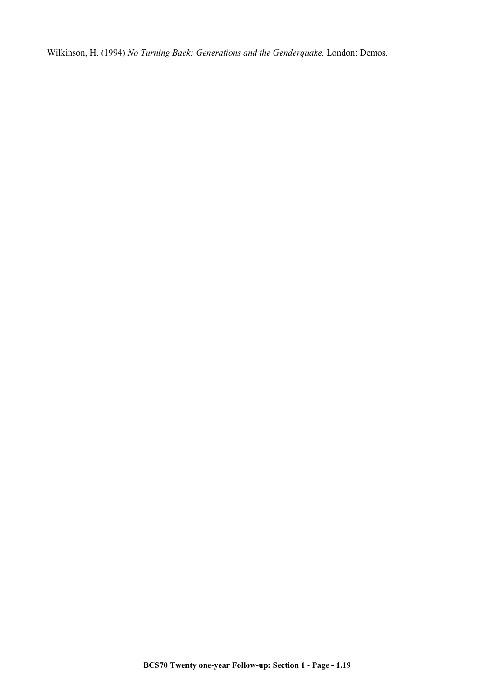Wilkinson, H. (1994) *No Turning Back: Generations and the Genderquake.* London: Demos.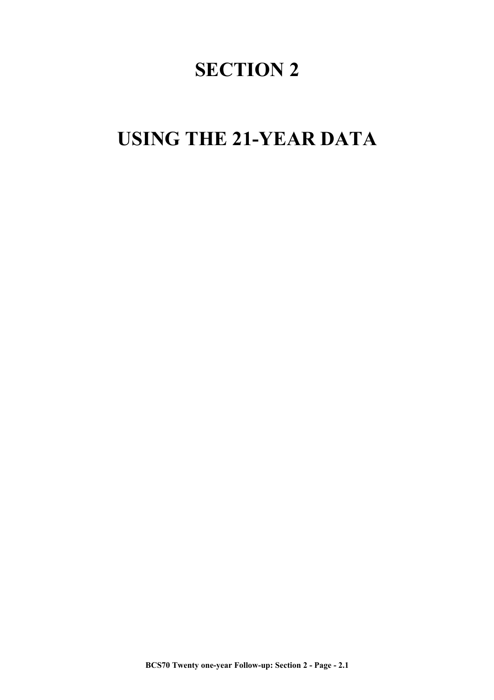# **SECTION 2**

# **USING THE 21-YEAR DATA**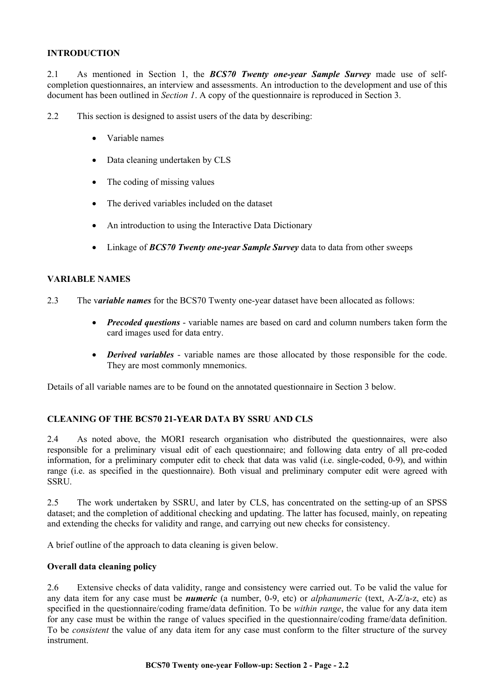#### **INTRODUCTION**

2.1 As mentioned in Section 1, the *BCS70 Twenty one-year Sample Survey* made use of selfcompletion questionnaires, an interview and assessments. An introduction to the development and use of this document has been outlined in *Section 1*. A copy of the questionnaire is reproduced in Section 3.

2.2 This section is designed to assist users of the data by describing:

- Variable names
- Data cleaning undertaken by CLS
- The coding of missing values
- The derived variables included on the dataset
- An introduction to using the Interactive Data Dictionary
- Linkage of *BCS70 Twenty one-year Sample Survey* data to data from other sweeps

#### **VARIABLE NAMES**

- 2.3 The v*ariable names* for the BCS70 Twenty one-year dataset have been allocated as follows:
	- *Precoded questions* variable names are based on card and column numbers taken form the card images used for data entry.
	- *Derived variables* variable names are those allocated by those responsible for the code. They are most commonly mnemonics.

Details of all variable names are to be found on the annotated questionnaire in Section 3 below.

#### **CLEANING OF THE BCS70 21-YEAR DATA BY SSRU AND CLS**

2.4 As noted above, the MORI research organisation who distributed the questionnaires, were also responsible for a preliminary visual edit of each questionnaire; and following data entry of all pre-coded information, for a preliminary computer edit to check that data was valid (i.e. single-coded, 0-9), and within range (i.e. as specified in the questionnaire). Both visual and preliminary computer edit were agreed with **SSRU** 

2.5 The work undertaken by SSRU, and later by CLS, has concentrated on the setting-up of an SPSS dataset; and the completion of additional checking and updating. The latter has focused, mainly, on repeating and extending the checks for validity and range, and carrying out new checks for consistency.

A brief outline of the approach to data cleaning is given below.

#### **Overall data cleaning policy**

2.6 Extensive checks of data validity, range and consistency were carried out. To be valid the value for any data item for any case must be *numeric* (a number, 0-9, etc) or *alphanumeric* (text, A-Z/a-z, etc) as specified in the questionnaire/coding frame/data definition. To be *within range*, the value for any data item for any case must be within the range of values specified in the questionnaire/coding frame/data definition. To be *consistent* the value of any data item for any case must conform to the filter structure of the survey instrument.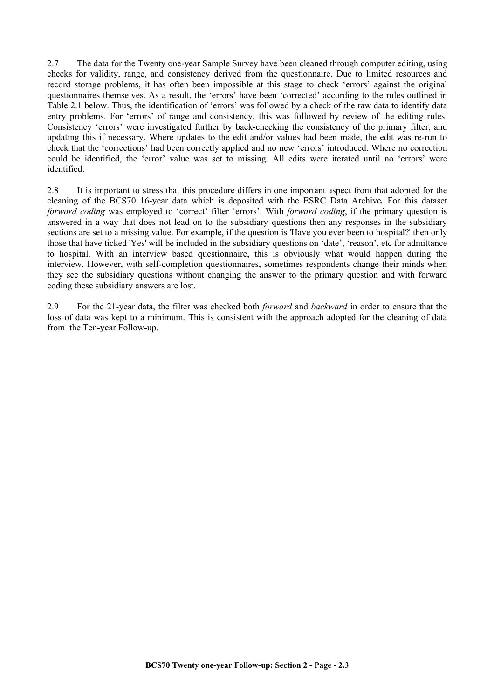2.7 The data for the Twenty one-year Sample Survey have been cleaned through computer editing, using checks for validity, range, and consistency derived from the questionnaire. Due to limited resources and record storage problems, it has often been impossible at this stage to check 'errors' against the original questionnaires themselves. As a result, the 'errors' have been 'corrected' according to the rules outlined in Table 2.1 below. Thus, the identification of 'errors' was followed by a check of the raw data to identify data entry problems. For 'errors' of range and consistency, this was followed by review of the editing rules. Consistency 'errors' were investigated further by back-checking the consistency of the primary filter, and updating this if necessary. Where updates to the edit and/or values had been made, the edit was re-run to check that the 'corrections' had been correctly applied and no new 'errors' introduced. Where no correction could be identified, the 'error' value was set to missing. All edits were iterated until no 'errors' were identified.

2.8 It is important to stress that this procedure differs in one important aspect from that adopted for the cleaning of the BCS70 16-year data which is deposited with the ESRC Data Archive*.* For this dataset *forward coding* was employed to 'correct' filter 'errors'. With *forward coding*, if the primary question is answered in a way that does not lead on to the subsidiary questions then any responses in the subsidiary sections are set to a missing value. For example, if the question is 'Have you ever been to hospital?' then only those that have ticked 'Yes' will be included in the subsidiary questions on 'date', 'reason', etc for admittance to hospital. With an interview based questionnaire, this is obviously what would happen during the interview. However, with self-completion questionnaires, sometimes respondents change their minds when they see the subsidiary questions without changing the answer to the primary question and with forward coding these subsidiary answers are lost.

2.9 For the 21-year data, the filter was checked both *forward* and *backward* in order to ensure that the loss of data was kept to a minimum. This is consistent with the approach adopted for the cleaning of data from the Ten-year Follow-up.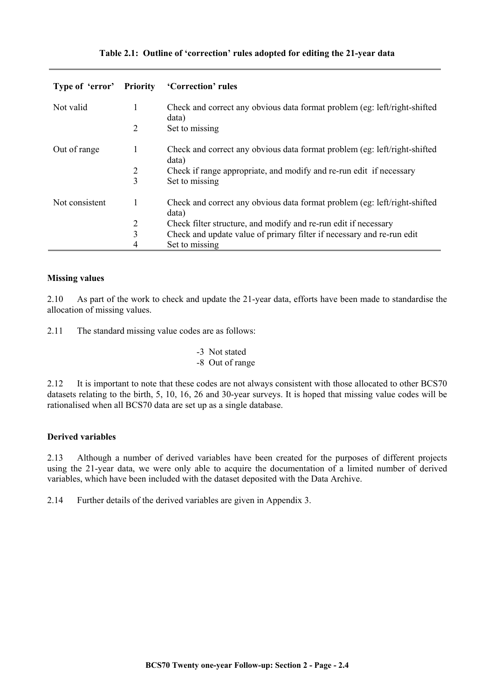|  |  |  | Table 2.1: Outline of 'correction' rules adopted for editing the 21-year data |  |  |
|--|--|--|-------------------------------------------------------------------------------|--|--|
|--|--|--|-------------------------------------------------------------------------------|--|--|

| Type of 'error' Priority |   | 'Correction' rules                                                                  |
|--------------------------|---|-------------------------------------------------------------------------------------|
| Not valid                | 1 | Check and correct any obvious data format problem (eg: left/right-shifted)<br>data) |
|                          | 2 | Set to missing                                                                      |
| Out of range             | 1 | Check and correct any obvious data format problem (eg: left/right-shifted)<br>data) |
|                          | 2 | Check if range appropriate, and modify and re-run edit if necessary                 |
|                          | 3 | Set to missing                                                                      |
| Not consistent           |   | Check and correct any obvious data format problem (eg: left/right-shifted)<br>data) |
|                          | 2 | Check filter structure, and modify and re-run edit if necessary                     |
|                          | 3 | Check and update value of primary filter if necessary and re-run edit               |
|                          | 4 | Set to missing                                                                      |

#### **Missing values**

2.10 As part of the work to check and update the 21-year data, efforts have been made to standardise the allocation of missing values.

2.11 The standard missing value codes are as follows:

| -3 Not stated   |
|-----------------|
| -8 Out of range |

2.12 It is important to note that these codes are not always consistent with those allocated to other BCS70 datasets relating to the birth, 5, 10, 16, 26 and 30-year surveys. It is hoped that missing value codes will be rationalised when all BCS70 data are set up as a single database.

## **Derived variables**

2.13 Although a number of derived variables have been created for the purposes of different projects using the 21-year data, we were only able to acquire the documentation of a limited number of derived variables, which have been included with the dataset deposited with the Data Archive.

2.14 Further details of the derived variables are given in Appendix 3.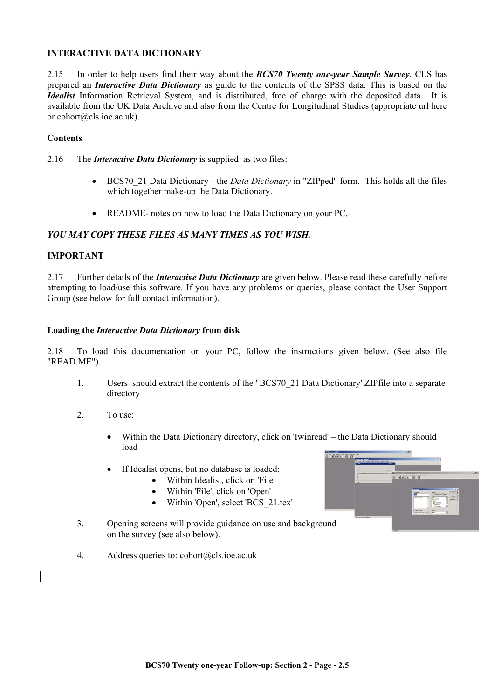#### **INTERACTIVE DATA DICTIONARY**

2.15 In order to help users find their way about the *BCS70 Twenty one-year Sample Survey*, CLS has prepared an *Interactive Data Dictionary* as guide to the contents of the SPSS data. This is based on the *Idealist* Information Retrieval System, and is distributed, free of charge with the deposited data. It is available from the UK Data Archive and also from the Centre for Longitudinal Studies (appropriate url here or cohort@cls.ioe.ac.uk).

#### **Contents**

- 2.16 The *Interactive Data Dictionary* is supplied as two files:
	- BCS70\_21 Data Dictionary the *Data Dictionary* in "ZIPped" form. This holds all the files which together make-up the Data Dictionary.
	- README- notes on how to load the Data Dictionary on your PC.

### *YOU MAY COPY THESE FILES AS MANY TIMES AS YOU WISH.*

#### **IMPORTANT**

2.17 Further details of the *Interactive Data Dictionary* are given below. Please read these carefully before attempting to load/use this software. If you have any problems or queries, please contact the User Support Group (see below for full contact information).

#### **Loading the** *Interactive Data Dictionary* **from disk**

2.18 To load this documentation on your PC, follow the instructions given below. (See also file "READ.ME").

- 1. Users should extract the contents of the ' BCS70\_21 Data Dictionary' ZIPfile into a separate directory
- 2. To use:
	- Within the Data Dictionary directory, click on 'Iwinread' the Data Dictionary should load
	- If Idealist opens, but no database is loaded:
		- Within Idealist, click on 'File'
		- Within 'File', click on 'Open'
		- Within 'Open', select 'BCS\_21.tex'
- 3. Opening screens will provide guidance on use and background on the survey (see also below).
- 4. Address queries to: cohort@cls.ioe.ac.uk

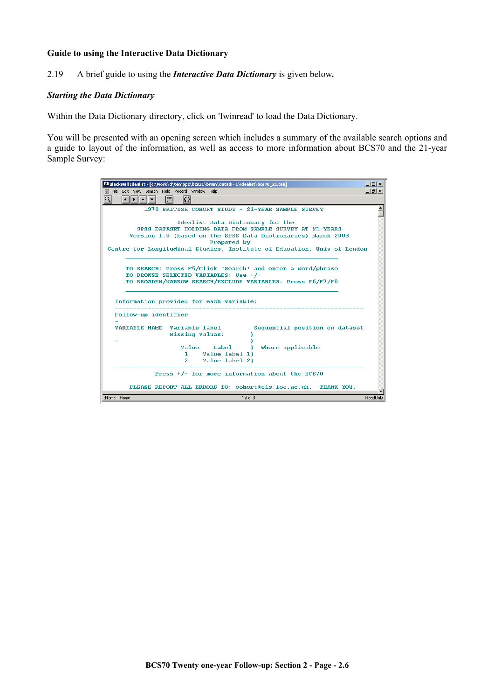#### **Guide to using the Interactive Data Dictionary**

2.19 A brief guide to using the *Interactive Data Dictionary* is given below*.* 

#### *Starting the Data Dictionary*

Within the Data Dictionary directory, click on 'Iwinread' to load the Data Dictionary.

You will be presented with an opening screen which includes a summary of the available search options and a guide to layout of the information, as well as access to more information about BCS70 and the 21-year Sample Survey:

| Blackwell Idealist - [c:\work\d\temppc\bcs21\brian\datadi~1\idealist\bcs70_21.tex]                                                                                                                                                                     | $ \Box$ $\times$ |
|--------------------------------------------------------------------------------------------------------------------------------------------------------------------------------------------------------------------------------------------------------|------------------|
| File Edit View Search Field Record Window Help                                                                                                                                                                                                         | <u>니레 X</u>      |
| C <br>ΙEΙ<br>▎▎▏▌▛▕▏▅▕▏▅▕                                                                                                                                                                                                                              |                  |
| 1970 BRITISH COHORT STHDY - 21-YEAR SAMPLE SHRVEY                                                                                                                                                                                                      |                  |
| Idealist Data Dictionary for the<br>SPSS DATASET HOLDING DATA FROM SAMPLE SURVEY AT 21-YEARS<br>Version 1.0 (based on the SPSS Data Dictionaries) March 2003<br>Prepared by<br>Centre for Longitudinal Studies, Institute of Education, Univ of London |                  |
| TO SEARCH: Press F5/Click 'Search' and enter a word/phrase<br>TO BROWSE SELECTED VARIABLES: Use +/-<br>TO BROADEN/NARROW SEARCH/EXCLUDE VARIABLES: Press F6/F7/F8<br>Information provided for each variable:                                           |                  |
| Follow-up identifier                                                                                                                                                                                                                                   |                  |
| VARIABLE NAME Variable label<br>Sequential position on dataset<br>Missing Values:                                                                                                                                                                      |                  |
| Value<br>Label<br>Where applicable<br>Value label 1)<br>1.<br>Value label 2)<br>$2^{\circ}$                                                                                                                                                            |                  |
| Press $+/-$ for more information about the BCS70                                                                                                                                                                                                       |                  |
| PLEASE REPORT ALL ERRORS TO: cohort@cls.ioe.ac.uk. THANK YOU.                                                                                                                                                                                          |                  |
| :Home !Home<br>1st of 3                                                                                                                                                                                                                                | ReadOnly         |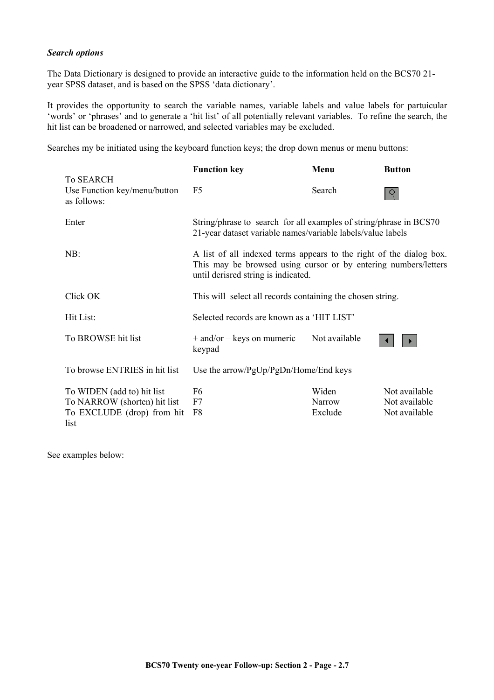#### *Search options*

The Data Dictionary is designed to provide an interactive guide to the information held on the BCS70 21 year SPSS dataset, and is based on the SPSS 'data dictionary'.

It provides the opportunity to search the variable names, variable labels and value labels for partuicular 'words' or 'phrases' and to generate a 'hit list' of all potentially relevant variables. To refine the search, the hit list can be broadened or narrowed, and selected variables may be excluded.

Searches my be initiated using the keyboard function keys; the drop down menus or menu buttons:

|                                                                                                  | <b>Function key</b>                                                                                                                                                           | Menu                       | <b>Button</b>                                   |
|--------------------------------------------------------------------------------------------------|-------------------------------------------------------------------------------------------------------------------------------------------------------------------------------|----------------------------|-------------------------------------------------|
| <b>To SEARCH</b><br>Use Function key/menu/button<br>as follows:                                  | F <sub>5</sub>                                                                                                                                                                | Search                     |                                                 |
| Enter                                                                                            | String/phrase to search for all examples of string/phrase in BCS70<br>21-year dataset variable names/variable labels/value labels                                             |                            |                                                 |
| NB:                                                                                              | A list of all indexed terms appears to the right of the dialog box.<br>This may be browsed using cursor or by entering numbers/letters<br>until derisred string is indicated. |                            |                                                 |
| Click OK                                                                                         | This will select all records containing the chosen string.                                                                                                                    |                            |                                                 |
| Hit List:                                                                                        | Selected records are known as a 'HIT LIST'                                                                                                                                    |                            |                                                 |
| To BROWSE hit list                                                                               | $+$ and/or $-$ keys on mumeric<br>keypad                                                                                                                                      | Not available              |                                                 |
| To browse ENTRIES in hit list                                                                    | Use the arrow/PgUp/PgDn/Home/End keys                                                                                                                                         |                            |                                                 |
| To WIDEN (add to) hit list<br>To NARROW (shorten) hit list<br>To EXCLUDE (drop) from hit<br>list | F <sub>6</sub><br>F7<br>F8                                                                                                                                                    | Widen<br>Narrow<br>Exclude | Not available<br>Not available<br>Not available |

See examples below: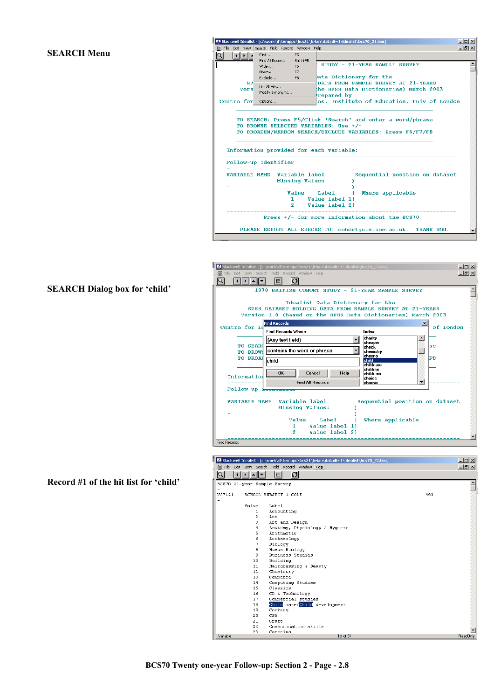# **SEARCH Menu**

|                          |                                                | Blackwell Idealist - [c:\work\d\temppc\bcs21\brian\datadi~1\idealist\bcs70_21.tex]                                                                                | $ \Box$ $\times$ |
|--------------------------|------------------------------------------------|-------------------------------------------------------------------------------------------------------------------------------------------------------------------|------------------|
|                          | File Edit View Search Field Record Window Help |                                                                                                                                                                   | $ B$ $\times$    |
| ΙQΙ                      | Find<br>F5<br>Shift+F5<br>Find All Records     |                                                                                                                                                                   |                  |
|                          | F6<br>Widen<br>Narrow<br>F7                    | STUDY - 21-YEAR SAMPLE SURVEY                                                                                                                                     |                  |
|                          | F <sub>8</sub>                                 | ata Dictionary for the                                                                                                                                            |                  |
| <b>SP</b><br><b>Vers</b> | List All Hits                                  | DATA FROM SAMPLE SURVEY AT 21-YEARS<br>he SPSS Data Dictionaries) March 2003                                                                                      |                  |
|                          | Modify Synonyms                                | repared by                                                                                                                                                        |                  |
| Centre for               | Options                                        | es, Institute of Education, Univ of London                                                                                                                        |                  |
|                          |                                                | TO SEARCH: Press F5/Click 'Search' and enter a word/phrase<br>TO BROWSE SELECTED VARIABLES: Use +/-<br>TO BROADEN/NARROW SEARCH/EXCLUDE VARIABLES: Press F6/F7/F8 |                  |
|                          |                                                | Information provided for each variable:                                                                                                                           |                  |
|                          | Follow-up identifier                           |                                                                                                                                                                   |                  |
|                          | VARIABLE NAME Variable label                   | Sequential position on dataset<br><b>Missing Values:</b>                                                                                                          |                  |
|                          | Value                                          | Label<br>Where applicable<br>з.                                                                                                                                   |                  |
|                          | 1.                                             | Value label 1)                                                                                                                                                    |                  |
|                          |                                                | 2 Value label 2}                                                                                                                                                  |                  |
|                          |                                                | Press $+/-$ for more information about the BCS70                                                                                                                  |                  |
|                          |                                                | PLEASE REPORT ALL ERRORS TO: cohort@cls.ioe.ac.uk. THANK YOU.                                                                                                     |                  |

# **SEARCH Dialog box for 'child'**

**Record #1 of the hit list for 'child'** 

| Blackwell Idealist - [c:\work\d\temppc\bcs21\brian\datadi~1\idealist\bcs70_21.tex]                                                                           | $ \Box$ $\times$ |
|--------------------------------------------------------------------------------------------------------------------------------------------------------------|------------------|
| File Edit View Search Field Record Window Help<br>阊                                                                                                          | $-10 \times$     |
| O <br>E                                                                                                                                                      |                  |
| 1970 BRITISH COHORT STUDY - 21-YEAR SAMPLE SURVEY                                                                                                            |                  |
| Idealist Data Dictionary for the<br>SPSS DATASET HOLDING DATA FROM SAMPLE SHRVEY AT 21-YEARS<br>Version 1.0 (based on the SPSS Data Dictionaries) March 2003 |                  |
| $\vert x \vert$<br><b>Find Records</b><br>of London<br>Centre for Lo                                                                                         |                  |
| <b>Find Records Where:</b><br>Index:                                                                                                                         |                  |
| charity<br>$\blacktriangle$<br>(Any text field)<br>cheaper                                                                                                   |                  |
| <b>TO SEARC</b><br>lse<br>check<br>contains the word or phrase                                                                                               |                  |
| chemistry<br>TO BROW!<br>chesno<br>F8<br><b>TO BROAI</b>                                                                                                     |                  |
| child<br>child<br>childcare                                                                                                                                  |                  |
| children<br><b>OK</b><br>Cancel<br>Help                                                                                                                      |                  |
| childrens<br>Information<br>choice                                                                                                                           |                  |
| <b>Find All Records</b><br>$\overline{\phantom{0}}$<br>chronic                                                                                               |                  |
| Follow-up <del>ruencrites</del>                                                                                                                              |                  |
| Variable label<br>Sequential position on dataset<br><b>VARTABLE NAME</b>                                                                                     |                  |
| Missing Values:                                                                                                                                              |                  |
|                                                                                                                                                              |                  |
| Value<br>Label<br>Where applicable                                                                                                                           |                  |
| 1.<br>Value label 1)                                                                                                                                         |                  |
| 2<br>Value label 2)                                                                                                                                          |                  |
| <b>Find Recorde</b>                                                                                                                                          |                  |

|                             |                       | Blackwell Idealist - [c:\work\d\temppc\bcs21\brian\datadi~1\idealist\bcs70_21.tex] |     | $-10x$       |
|-----------------------------|-----------------------|------------------------------------------------------------------------------------|-----|--------------|
| File<br>囼                   |                       | Edit View Search Field Record Window Help                                          |     | $-10 \times$ |
|                             | E                     | Ø                                                                                  |     |              |
| BCS70 21-year Sample Survey |                       |                                                                                    |     |              |
|                             |                       |                                                                                    |     |              |
| <b>VC71A1</b>               | SCHOOL SUBJECT 1 CODE |                                                                                    | 493 |              |
|                             |                       |                                                                                    |     |              |
| Value                       | Label                 |                                                                                    |     |              |
|                             | 1                     | Accounting                                                                         |     |              |
|                             | 2<br>Art              |                                                                                    |     |              |
|                             | 3.                    | Art and Design                                                                     |     |              |
|                             | 4                     | Anatomy, Physiology & Hygiene                                                      |     |              |
|                             | 5                     | Arithmetic                                                                         |     |              |
|                             | 6                     | Archaeology                                                                        |     |              |
|                             | 7<br>Biology          |                                                                                    |     |              |
|                             | 8                     | Human Biology                                                                      |     |              |
|                             | 9                     | Business Studies                                                                   |     |              |
|                             | 10<br>Building        |                                                                                    |     |              |
|                             | 11                    | Hairdressing & Beauty                                                              |     |              |
|                             | 12<br>Chemistry       |                                                                                    |     |              |
|                             | 13<br>Commerce        |                                                                                    |     |              |
|                             | 14                    | Computing Studies                                                                  |     |              |
|                             | 1.5<br>Classics       |                                                                                    |     |              |
|                             | 16                    | CD & Technology                                                                    |     |              |
|                             | 17                    | Commercial studies                                                                 |     |              |
|                             | 18                    | Child care/Child development                                                       |     |              |
|                             | 19<br>Cookery         |                                                                                    |     |              |
|                             | CSS.<br>20            |                                                                                    |     |              |
|                             | 21<br>Craft           |                                                                                    |     |              |
|                             | 22                    | Communication skills                                                               |     |              |
| :Variable                   | 23<br>Catering        | 1st of 81                                                                          |     | Read0nly     |
|                             |                       |                                                                                    |     |              |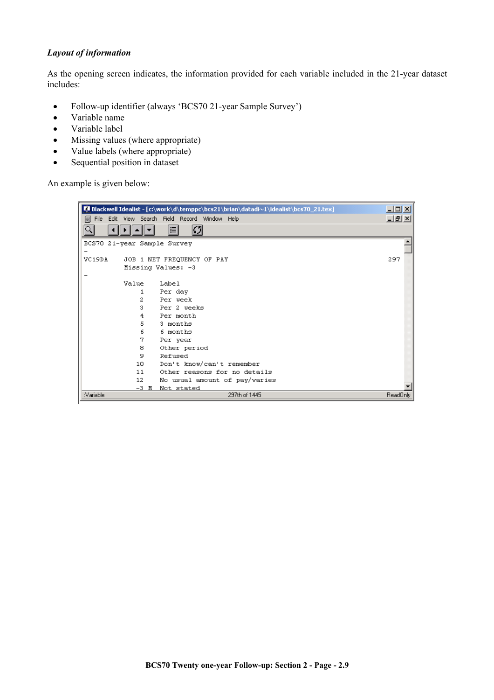#### *Layout of information*

As the opening screen indicates, the information provided for each variable included in the 21-year dataset includes:

- Follow-up identifier (always 'BCS70 21-year Sample Survey')
- Variable name
- Variable label
- Missing values (where appropriate)
- Value labels (where appropriate)
- Sequential position in dataset

An example is given below:

|           |       | Blackwell Idealist - [c:\work\d\temppc\bcs21\brian\datadi~1\idealist\bcs70_21.tex] | 그미지        |
|-----------|-------|------------------------------------------------------------------------------------|------------|
| 阊         |       | File Edit View Search Field Record Window Help                                     | <u>니레지</u> |
| Q         |       | Ø<br>目                                                                             |            |
|           |       | BCS70 21-year Sample Survey                                                        |            |
|           |       |                                                                                    |            |
| VC19DA    |       | JOB 1 NET FREQUENCY OF PAY                                                         | 297        |
|           |       | Missing Values: -3                                                                 |            |
|           |       |                                                                                    |            |
|           | Value | Label                                                                              |            |
|           | 1     | Per day                                                                            |            |
|           | 2     | Per week                                                                           |            |
|           | 3.    | Per 2 meeks                                                                        |            |
|           | 4     | Per month                                                                          |            |
|           | 5.    | 3 months                                                                           |            |
|           | 6     | 6 months                                                                           |            |
|           | 7     | Per year                                                                           |            |
|           | 8     | Other period                                                                       |            |
|           | 9     | Refused                                                                            |            |
|           | 10    | Don't know/can't remember                                                          |            |
|           | 11    | Other reasons for no details                                                       |            |
|           | 12    | No usual amount of pay/varies                                                      |            |
|           | -3 M  | Not stated                                                                         |            |
| :Variable |       | 297th of 1445                                                                      | ReadOnly   |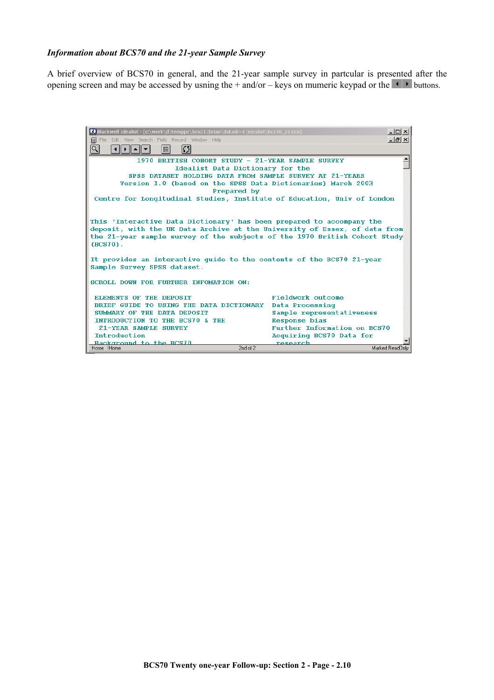#### *Information about BCS70 and the 21-year Sample Survey*

A brief overview of BCS70 in general, and the 21-year sample survey in partcular is presented after the opening screen and may be accessed by usning the  $+$  and/or – keys on mumeric keypad or the  $\blacksquare$  buttons.

> Blackwell Idealist - [c:\work\d\temppc\bcs21\brian\datadi~1\id  $|X|$ File Edit View Search Field Record Window Help  $-10 \times$ ାଦ  $\overline{\phantom{a}}$ 1970 BRITISH COHORT STUDY - 21-YEAR SAMPLE SURVEY Idealist Data Dictionary for the SPSS DATASET HOLDING DATA FROM SAMPLE SURVEY AT 21-YEARS Version 1.0 (based on the SPSS Data Dictionaries) March 2003 Prepared by Centre for Longitudinal Studies, Institute of Education, Univ of London This 'Interactive Data Dictionary' has been prepared to accompany the deposit, with the UK Data Archive at the University of Essex, of data from the 21-year sample survey of the subjects of the 1970 British Cohort Study  $(BCS70)$ . It provides an interactive guide to the contents of the BCS70 21-year Sample Survey SPSS dataset. SCROLL DOWN FOR FURTHER INFOMATION ON: ELEMENTS OF THE DEPOSIT Fieldwork outcome BRIEF GUIDE TO USING THE DATA DICTIONARY Data Processing SUMMARY OF THE DATA DEPOSIT Sample representativeness INTRODUCTION TO THE BCS70 & THE Response bias 21-YEAR SAMPLE SURVEY Further Information on BCS70  $\label{thm:1} \begin{minipage}{.4\linewidth} \textbf{Introduction} \end{minipage}$ Acquiring BCS70 Data for Rackground to the BCS70<br>Home Home research 2nd of  $2<sub>1</sub>$ Marked ReadOnly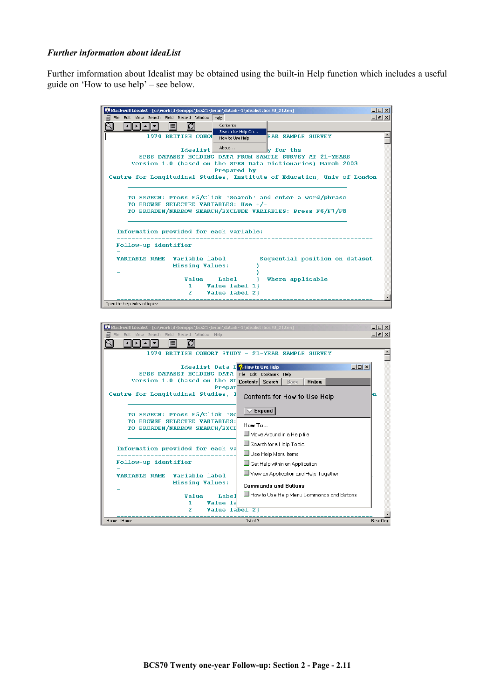#### *Further information about ideaList*

Further imformation about Idealist may be obtained using the built-in Help function which includes a useful guide on 'How to use help' – see below.